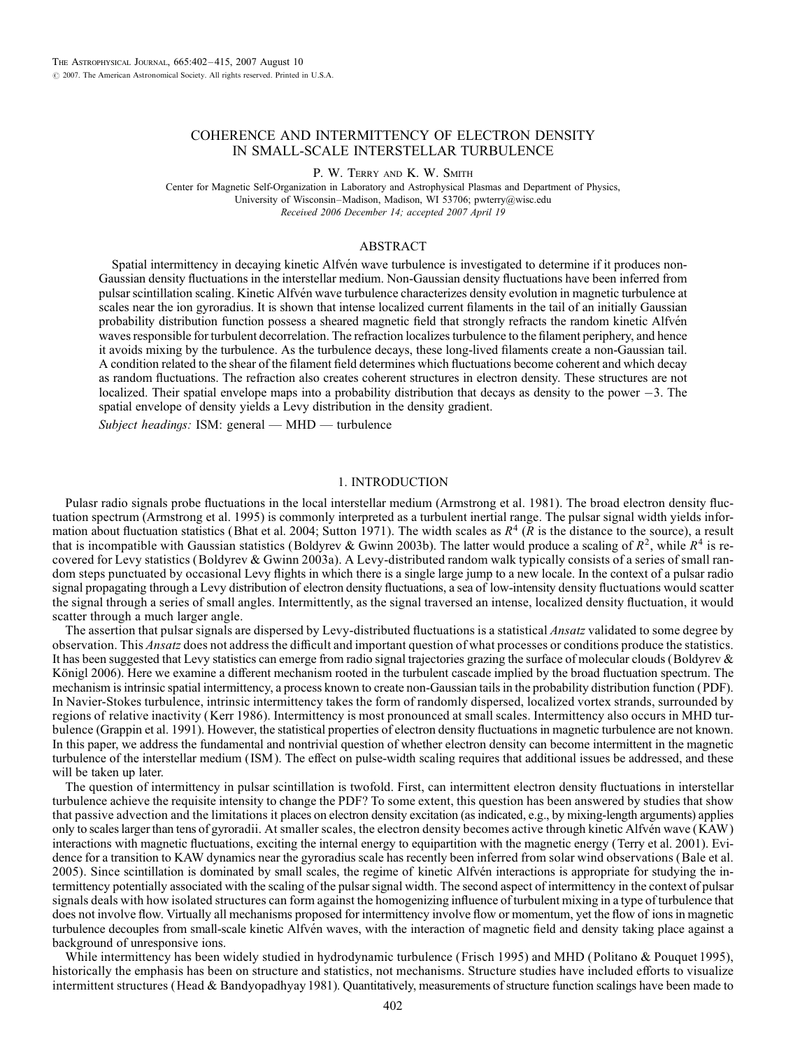# COHERENCE AND INTERMITTENCY OF ELECTRON DENSITY IN SMALL-SCALE INTERSTELLAR TURBULENCE

P. W. TERRY AND K. W. SMITH

Center for Magnetic Self-Organization in Laboratory and Astrophysical Plasmas and Department of Physics, University of Wisconsin-Madison, Madison, WI 53706; pwterry@wisc.edu Received 2006 December 14; accepted 2007 April 19

## ABSTRACT

Spatial intermittency in decaying kinetic Alfvén wave turbulence is investigated to determine if it produces non-Gaussian density fluctuations in the interstellar medium. Non-Gaussian density fluctuations have been inferred from pulsar scintillation scaling. Kinetic Alfvén wave turbulence characterizes density evolution in magnetic turbulence at scales near the ion gyroradius. It is shown that intense localized current filaments in the tail of an initially Gaussian probability distribution function possess a sheared magnetic field that strongly refracts the random kinetic Alfvén waves responsible for turbulent decorrelation. The refraction localizes turbulence to the filament periphery, and hence it avoids mixing by the turbulence. As the turbulence decays, these long-lived filaments create a non-Gaussian tail. A condition related to the shear of the filament field determines which fluctuations become coherent and which decay as random fluctuations. The refraction also creates coherent structures in electron density. These structures are not localized. Their spatial envelope maps into a probability distribution that decays as density to the power  $-3$ . The spatial envelope of density yields a Levy distribution in the density gradient.

Subject headings: ISM: general — MHD — turbulence

## 1. INTRODUCTION

Pulasr radio signals probe fluctuations in the local interstellar medium (Armstrong et al. 1981). The broad electron density fluctuation spectrum (Armstrong et al. 1995) is commonly interpreted as a turbulent inertial range. The pulsar signal width yields information about fluctuation statistics (Bhat et al. 2004; Sutton 1971). The width scales as  $R^4$  ( $\overline{R}$  is the distance to the source), a result that is incompatible with Gaussian statistics (Boldyrev & Gwinn 2003b). The latter would produce a scaling of  $R^2$ , while  $R^4$  is recovered for Levy statistics (Boldyrev & Gwinn 2003a). A Levy-distributed random walk typically consists of a series of small random steps punctuated by occasional Levy flights in which there is a single large jump to a new locale. In the context of a pulsar radio signal propagating through a Levy distribution of electron density fluctuations, a sea of low-intensity density fluctuations would scatter the signal through a series of small angles. Intermittently, as the signal traversed an intense, localized density fluctuation, it would scatter through a much larger angle.

The assertion that pulsar signals are dispersed by Levy-distributed fluctuations is a statistical *Ansatz* validated to some degree by observation. This *Ansatz* does not address the difficult and important question of what processes or conditions produce the statistics. It has been suggested that Levy statistics can emerge from radio signal trajectories grazing the surface of molecular clouds (Boldyrev & Königl 2006). Here we examine a different mechanism rooted in the turbulent cascade implied by the broad fluctuation spectrum. The mechanism is intrinsic spatial intermittency, a process known to create non-Gaussian tails in the probability distribution function (PDF). In Navier-Stokes turbulence, intrinsic intermittency takes the form of randomly dispersed, localized vortex strands, surrounded by regions of relative inactivity (Kerr 1986). Intermittency is most pronounced at small scales. Intermittency also occurs in MHD turbulence (Grappin et al. 1991). However, the statistical properties of electron density fluctuations in magnetic turbulence are not known. In this paper, we address the fundamental and nontrivial question of whether electron density can become intermittent in the magnetic turbulence of the interstellar medium ( ISM ). The effect on pulse-width scaling requires that additional issues be addressed, and these will be taken up later.

The question of intermittency in pulsar scintillation is twofold. First, can intermittent electron density fluctuations in interstellar turbulence achieve the requisite intensity to change the PDF? To some extent, this question has been answered by studies that show that passive advection and the limitations it places on electron density excitation (as indicated, e.g., by mixing-length arguments) applies only to scales larger than tens of gyroradii. At smaller scales, the electron density becomes active through kinetic Alfvén wave (KAW) interactions with magnetic fluctuations, exciting the internal energy to equipartition with the magnetic energy (Terry et al. 2001). Evidence for a transition to KAW dynamics near the gyroradius scale has recently been inferred from solar wind observations (Bale et al. 2005). Since scintillation is dominated by small scales, the regime of kinetic Alfvén interactions is appropriate for studying the intermittency potentially associated with the scaling of the pulsar signal width. The second aspect of intermittency in the context of pulsar signals deals with how isolated structures can form against the homogenizing influence of turbulent mixing in a type of turbulence that does not involve flow. Virtually all mechanisms proposed for intermittency involve flow or momentum, yet the flow of ions in magnetic turbulence decouples from small-scale kinetic Alfvén waves, with the interaction of magnetic field and density taking place against a background of unresponsive ions.

While intermittency has been widely studied in hydrodynamic turbulence (Frisch 1995) and MHD (Politano & Pouquet 1995), historically the emphasis has been on structure and statistics, not mechanisms. Structure studies have included efforts to visualize intermittent structures (Head & Bandyopadhyay 1981). Quantitatively, measurements of structure function scalings have been made to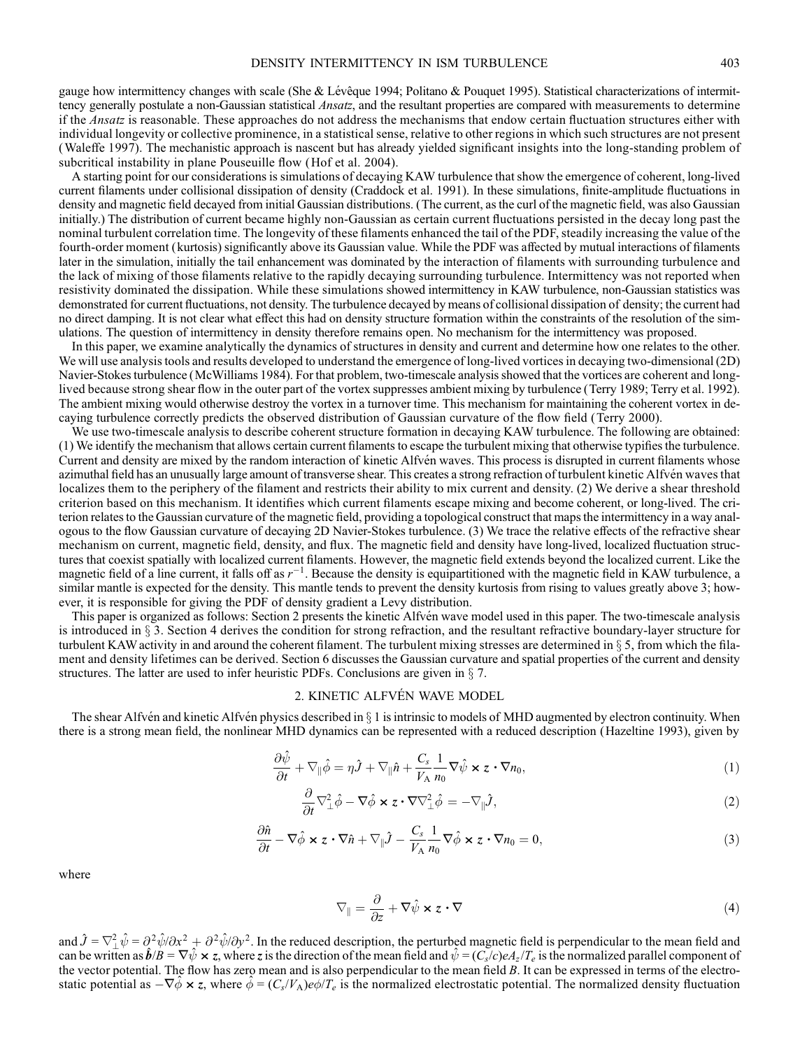gauge how intermittency changes with scale (She & Lévêque 1994; Politano & Pouquet 1995). Statistical characterizations of intermittency generally postulate a non-Gaussian statistical *Ansatz*, and the resultant properties are compared with measurements to determine if the Ansatz is reasonable. These approaches do not address the mechanisms that endow certain fluctuation structures either with individual longevity or collective prominence, in a statistical sense, relative to other regions in which such structures are not present (Waleffe 1997). The mechanistic approach is nascent but has already yielded significant insights into the long-standing problem of subcritical instability in plane Pouseuille flow (Hof et al. 2004).

A starting point for our considerations is simulations of decaying KAW turbulence that show the emergence of coherent, long-lived current filaments under collisional dissipation of density (Craddock et al. 1991). In these simulations, finite-amplitude fluctuations in density and magnetic field decayed from initial Gaussian distributions. (The current, as the curl of the magnetic field, was also Gaussian initially.) The distribution of current became highly non-Gaussian as certain current fluctuations persisted in the decay long past the nominal turbulent correlation time. The longevity of these filaments enhanced the tail of the PDF, steadily increasing the value of the fourth-order moment (kurtosis) significantly above its Gaussian value. While the PDF was affected by mutual interactions of filaments later in the simulation, initially the tail enhancement was dominated by the interaction of filaments with surrounding turbulence and the lack of mixing of those filaments relative to the rapidly decaying surrounding turbulence. Intermittency was not reported when resistivity dominated the dissipation. While these simulations showed intermittency in KAW turbulence, non-Gaussian statistics was demonstrated for current fluctuations, not density. The turbulence decayed by means of collisional dissipation of density; the current had no direct damping. It is not clear what effect this had on density structure formation within the constraints of the resolution of the simulations. The question of intermittency in density therefore remains open. No mechanism for the intermittency was proposed.

In this paper, we examine analytically the dynamics of structures in density and current and determine how one relates to the other. We will use analysis tools and results developed to understand the emergence of long-lived vortices in decaying two-dimensional (2D) Navier-Stokes turbulence (McWilliams 1984). For that problem, two-timescale analysis showed that the vortices are coherent and longlived because strong shear flow in the outer part of the vortex suppresses ambient mixing by turbulence (Terry 1989; Terry et al. 1992). The ambient mixing would otherwise destroy the vortex in a turnover time. This mechanism for maintaining the coherent vortex in decaying turbulence correctly predicts the observed distribution of Gaussian curvature of the flow field (Terry 2000).

We use two-timescale analysis to describe coherent structure formation in decaying KAW turbulence. The following are obtained: (1) We identify the mechanism that allows certain current filaments to escape the turbulent mixing that otherwise typifies the turbulence. Current and density are mixed by the random interaction of kinetic Alfvén waves. This process is disrupted in current filaments whose azimuthal field has an unusually large amount of transverse shear. This creates a strong refraction of turbulent kinetic Alfvén waves that localizes them to the periphery of the filament and restricts their ability to mix current and density. (2) We derive a shear threshold criterion based on this mechanism. It identifies which current filaments escape mixing and become coherent, or long-lived. The criterion relates to the Gaussian curvature of the magnetic field, providing a topological construct that maps the intermittency in a way analogous to the flow Gaussian curvature of decaying 2D Navier-Stokes turbulence. (3) We trace the relative effects of the refractive shear mechanism on current, magnetic field, density, and flux. The magnetic field and density have long-lived, localized fluctuation structures that coexist spatially with localized current filaments. However, the magnetic field extends beyond the localized current. Like the magnetic field of a line current, it falls off as  $r^{-1}$ . Because the density is equipartitioned with the magnetic field in KAW turbulence, a similar mantle is expected for the density. This mantle tends to prevent the density kurtosis from rising to values greatly above 3; however, it is responsible for giving the PDF of density gradient a Levy distribution.

This paper is organized as follows: Section 2 presents the kinetic Alfvén wave model used in this paper. The two-timescale analysis is introduced in  $\S 3$ . Section 4 derives the condition for strong refraction, and the resultant refractive boundary-layer structure for turbulent KAW activity in and around the coherent filament. The turbulent mixing stresses are determined in  $\S$  5, from which the filament and density lifetimes can be derived. Section 6 discusses the Gaussian curvature and spatial properties of the current and density structures. The latter are used to infer heuristic PDFs. Conclusions are given in  $\S$  7.

### 2. KINETIC ALFVEN WAVE MODEL

The shear Alfvén and kinetic Alfvén physics described in  $\S 1$  is intrinsic to models of MHD augmented by electron continuity. When there is a strong mean field, the nonlinear MHD dynamics can be represented with a reduced description (Hazeltine 1993), given by

$$
\frac{\partial \hat{\psi}}{\partial t} + \nabla_{\parallel} \hat{\phi} = \eta \hat{J} + \nabla_{\parallel} \hat{n} + \frac{C_s}{V_A} \frac{1}{n_0} \nabla \hat{\psi} \times z \cdot \nabla n_0, \tag{1}
$$

$$
\frac{\partial}{\partial t} \nabla_{\perp}^2 \hat{\phi} - \nabla \hat{\phi} \times z \cdot \nabla \nabla_{\perp}^2 \hat{\phi} = -\nabla_{\parallel} \hat{J},\tag{2}
$$

$$
\frac{\partial \hat{n}}{\partial t} - \nabla \hat{\phi} \times z \cdot \nabla \hat{n} + \nabla_{\parallel} \hat{J} - \frac{C_s}{V_A} \frac{1}{n_0} \nabla \hat{\phi} \times z \cdot \nabla n_0 = 0, \tag{3}
$$

where

$$
\nabla_{\parallel} = \frac{\partial}{\partial z} + \nabla \hat{\psi} \times z \cdot \nabla
$$
\n(4)

and  $\hat{J} = \nabla_{\perp}^2 \hat{\psi} = \frac{\partial^2 \hat{\psi}}{\partial x^2} + \frac{\partial^2 \hat{\psi}}{\partial y^2}$ . In the reduced description, the perturbed magnetic field is perpendicular to the mean field and can be written as  $\hat{b}/B = \nabla \hat{\psi} \times z$ , where z is the direction of the mean field and  $\hat{\psi} = (C_s/c)eA_z/T_e$  is the normalized parallel component of the vector potential. The flow has zero mean and is also perpendicular to the mean field B. It can be expressed in terms of the electrostatic potential as  $-\nabla \hat{\phi} \times z$ , where  $\hat{\phi} = (C_s/V_A)e\phi/T_e$  is the normalized electrostatic potential. The normalized density fluctuation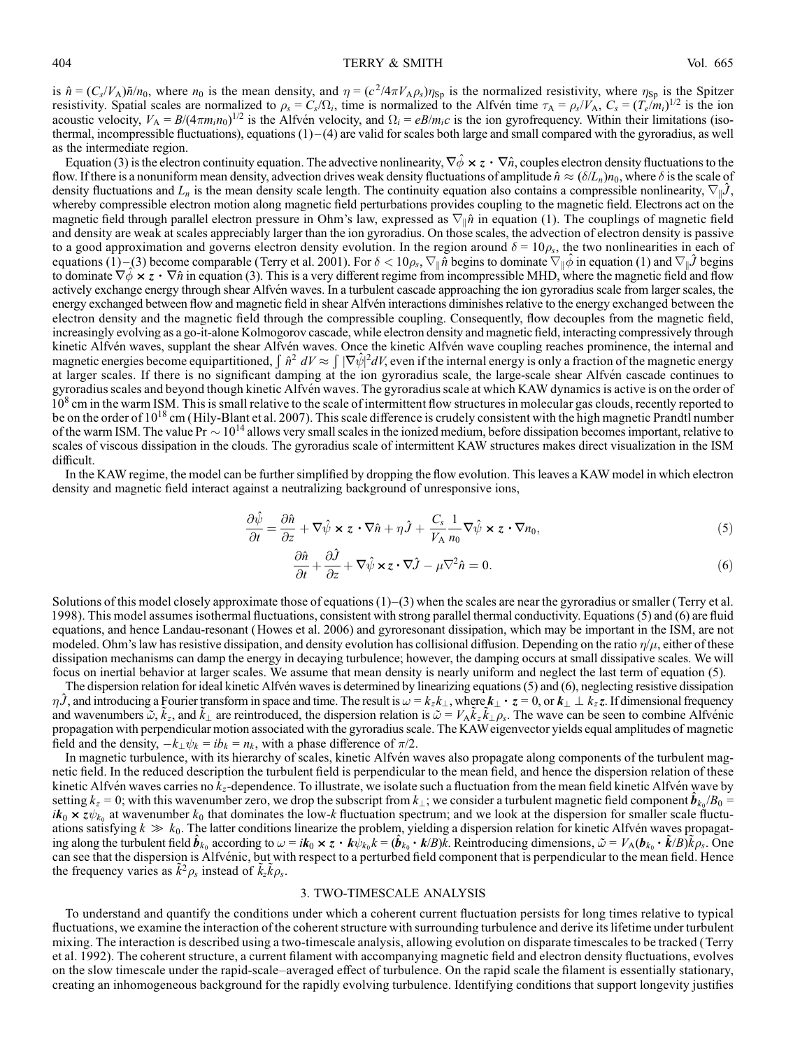is  $\hat{n} = (C_s/V_A)\tilde{n}/n_0$ , where  $n_0$  is the mean density, and  $\eta = (c^2/4\pi V_A\rho_s)\eta_{sp}$  is the normalized resistivity, where  $\eta_{sp}$  is the Spitzer resistivity. Spatial scales are normalized to  $\rho_s = C_s / \Omega_i$ , time is normalized to the Alfvén time  $\tau_A = \rho_s / V_A$ ,  $C_s = (T_e / m_i)^{1/2}$  is the ion acoustic velocity,  $V_A = B/(4\pi m_i n_0)^{1/2}$  is the Alfvén velocity, and  $\Omega_i = eB/m_i c$  is the ion gyrofrequency. Within their limitations (isothermal, incompressible fluctuations), equations  $(1) - (4)$  are valid for scales both large and small compared with the gyroradius, as well as the intermediate region.

Equation (3) is the electron continuity equation. The advective nonlinearity,  $\nabla \hat{\phi} \times z \cdot \nabla \hat{n}$ , couples electron density fluctuations to the flow. If there is a nonuniform mean density, advection drives weak density fluctuations of amplitude  $\hat{n} \approx (\delta/L_n)n_0$ , where  $\delta$  is the scale of density fluctuations and  $L_n$  is the mean density scale length. The continuity equation also contains a compressible nonlinearity,  $\nabla_{\parallel} \hat{J}$ , whereby compressible electron motion along magnetic field perturbations provides coupling to the magnetic field. Electrons act on the magnetic field through parallel electron pressure in Ohm's law, expressed as  $\nabla_{\parallel}\hat{n}$  in equation (1). The couplings of magnetic field and density are weak at scales appreciably larger than the ion gyroradius. On those scales, the advection of electron density is passive to a good approximation and governs electron density evolution. In the region around  $\delta = 10\rho_s$ , the two nonlinearities in each of equations (1)–(3) become comparable (Terry et al. 2001). For  $\delta < 10 \rho_s$ ,  $\nabla_{\parallel} \tilde{n}$  begins to dominate  $\nabla_{\parallel} \hat{\phi}$  in equation (1) and  $\nabla_{\parallel} \hat{J}$  begins to dominate  $\nabla \phi \times z \cdot \nabla \hat{n}$  in equation (3). This is a very different regime from incompressible MHD, where the magnetic field and flow actively exchange energy through shear Alfvén waves. In a turbulent cascade approaching the ion gyroradius scale from larger scales, the energy exchanged between flow and magnetic field in shear Alfvén interactions diminishes relative to the energy exchanged between the electron density and the magnetic field through the compressible coupling. Consequently, flow decouples from the magnetic field, increasingly evolving as a go-it-alone Kolmogorov cascade, while electron density and magnetic field, interacting compressively through kinetic Alfvén waves, supplant the shear Alfvén waves. Once the kinetic Alfvén wave coupling reaches prominence, the internal and Reflect Affixen waves, supplant the shear Affixen waves. Once the kinetic Affixen wave coupling reacties prominence, the internal and magnetic energy is only a fraction of the magnetic energy is only a fraction of the mag at larger scales. If there is no significant damping at the ion gyroradius scale, the large-scale shear Alfvén cascade continues to gyroradius scales and beyond though kinetic Alfvén waves. The gyroradius scale at which KAW dynamics is active is on the order of 10<sup>8</sup> cm in the warm ISM. This is small relative to the scale of intermittent flow structures in molecular gas clouds, recently reported to be on the order of 10<sup>18</sup> cm (Hily-Blant et al. 2007). This scale difference is crudely consistent with the high magnetic Prandtl number of the warm ISM. The value Pr  $\sim 10^{14}$  allows very small scales in the ionized medium, before dissipation becomes important, relative to scales of viscous dissipation in the clouds. The gyroradius scale of intermittent KAW structures makes direct visualization in the ISM difficult.

In the KAW regime, the model can be further simplified by dropping the flow evolution. This leaves a KAW model in which electron density and magnetic field interact against a neutralizing background of unresponsive ions,

$$
\frac{\partial \hat{\psi}}{\partial t} = \frac{\partial \hat{n}}{\partial z} + \nabla \hat{\psi} \times z \cdot \nabla \hat{n} + \eta \hat{J} + \frac{C_s}{V_A} \frac{1}{n_0} \nabla \hat{\psi} \times z \cdot \nabla n_0, \tag{5}
$$

$$
\frac{\partial \hat{n}}{\partial t} + \frac{\partial \hat{J}}{\partial z} + \nabla \hat{\psi} \times z \cdot \nabla \hat{J} - \mu \nabla^2 \hat{n} = 0.
$$
\n(6)

Solutions of this model closely approximate those of equations  $(1)-(3)$  when the scales are near the gyroradius or smaller (Terry et al. 1998). This model assumes isothermal fluctuations, consistent with strong parallel thermal conductivity. Equations (5) and (6) are fluid equations, and hence Landau-resonant (Howes et al. 2006) and gyroresonant dissipation, which may be important in the ISM, are not modeled. Ohm's law has resistive dissipation, and density evolution has collisional diffusion. Depending on the ratio  $\eta/\mu$ , either of these dissipation mechanisms can damp the energy in decaying turbulence; however, the damping occurs at small dissipative scales. We will focus on inertial behavior at larger scales. We assume that mean density is nearly uniform and neglect the last term of equation (5).

The dispersion relation for ideal kinetic Alfvén waves is determined by linearizing equations  $(5)$  and  $(6)$ , neglecting resistive dissipation  $\eta\hat{J}$ , and introducing a Fourier transform in space and time. The result is  $\omega = k_z k_{\perp}$ , where  $k_{\perp} \cdot z = 0$ , or  $k_{\perp} \perp k_z z$ . If dimensional frequency and wavenumbers  $\tilde{\omega}$ ,  $\tilde{k}_z$ , and  $\tilde{k}_\perp$  are reintroduced, the dispersion relation is  $\tilde{\omega} = V_A \tilde{k}_z \tilde{k}_\perp \rho_s$ . The wave can be seen to combine Alfvénic propagation with perpendicular motion associated with the gyroradius scale. The KAWeigenvector yields equal amplitudes of magnetic field and the density,  $-k_{\perp}\psi_k = ib_k = n_k$ , with a phase difference of  $\pi/2$ .

In magnetic turbulence, with its hierarchy of scales, kinetic Alfvén waves also propagate along components of the turbulent magnetic field. In the reduced description the turbulent field is perpendicular to the mean field, and hence the dispersion relation of these kinetic Alfvén waves carries no  $k_z$ -dependence. To illustrate, we isolate such a fluctuation from the mean field kinetic Alfvén wave by setting  $k_z = 0$ ; with this wavenumber zero, we drop the subscript from  $k_{\perp}$ ; we consider a turbulent magnetic field component  $\hat{b}_{k_0}/B_0 =$  $ik_0 \times z\psi_{k_0}$  at wavenumber  $k_0$  that dominates the low-k fluctuation spectrum; and we look at the dispersion for smaller scale fluctuations satisfying  $k \gg k_0$ . The latter conditions linearize the problem, yielding a dispersion relation for kinetic Alfvén waves propagating along the turbulent field  $\hat{b}_{k_0}$  according to  $\omega = i k_0 \times z \cdot k \psi_{k_0} k = (\hat{b}_{k_0} \cdot k/B) \overline{k}$ . Reintroducing dimensions,  $\tilde{\omega} = V_A (b_{k_0} \cdot \tilde{k}/B) \overline{k} \rho_s$ . One can see that the dispersion is Alfvénic, but with respect to a perturbed field component that is perpendicular to the mean field. Hence the frequency varies as  $\tilde{k}^2 \rho_s$  instead of  $\tilde{k}_z \tilde{k} \rho_s$ .

### 3. TWO-TIMESCALE ANALYSIS

To understand and quantify the conditions under which a coherent current fluctuation persists for long times relative to typical fluctuations, we examine the interaction of the coherent structure with surrounding turbulence and derive its lifetime under turbulent mixing. The interaction is described using a two-timescale analysis, allowing evolution on disparate timescales to be tracked (Terry et al. 1992). The coherent structure, a current filament with accompanying magnetic field and electron density fluctuations, evolves on the slow timescale under the rapid-scale-averaged effect of turbulence. On the rapid scale the filament is essentially stationary, creating an inhomogeneous background for the rapidly evolving turbulence. Identifying conditions that support longevity justifies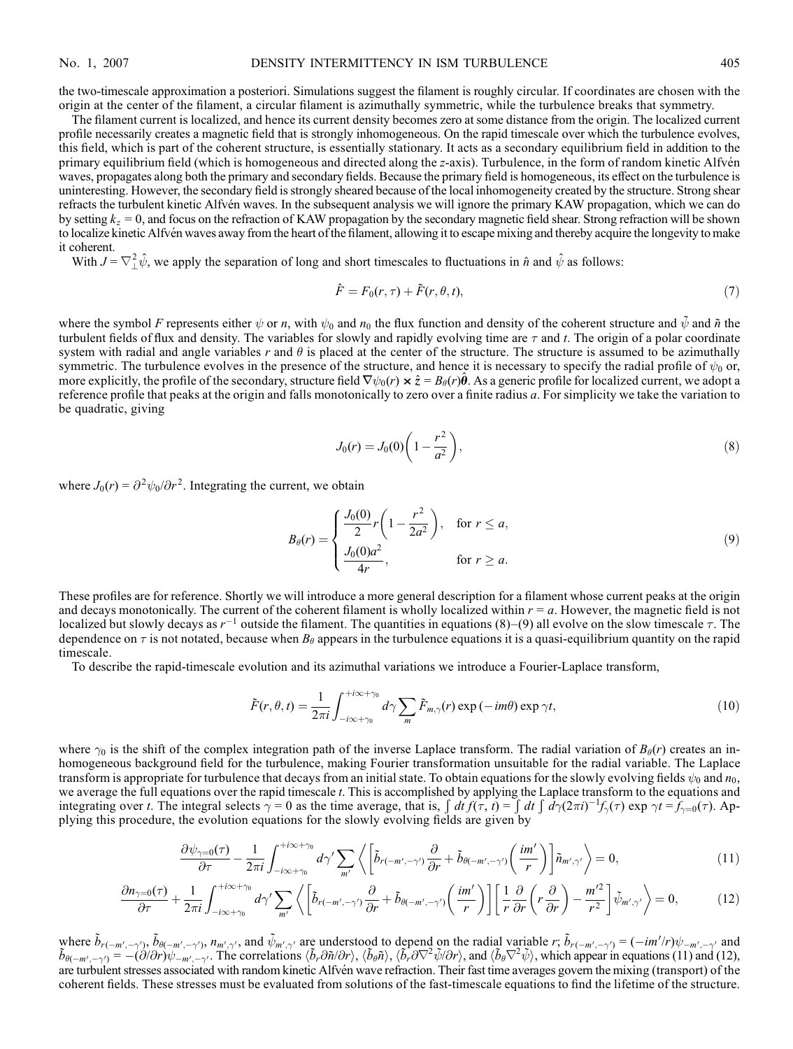the two-timescale approximation a posteriori. Simulations suggest the filament is roughly circular. If coordinates are chosen with the origin at the center of the filament, a circular filament is azimuthally symmetric, while the turbulence breaks that symmetry.

The filament current is localized, and hence its current density becomes zero at some distance from the origin. The localized current profile necessarily creates a magnetic field that is strongly inhomogeneous. On the rapid timescale over which the turbulence evolves, this field, which is part of the coherent structure, is essentially stationary. It acts as a secondary equilibrium field in addition to the primary equilibrium field (which is homogeneous and directed along the z-axis). Turbulence, in the form of random kinetic Alfvén waves, propagates along both the primary and secondary fields. Because the primary field is homogeneous, its effect on the turbulence is uninteresting. However, the secondary field is strongly sheared because of the local inhomogeneity created by the structure. Strong shear refracts the turbulent kinetic Alfvén waves. In the subsequent analysis we will ignore the primary KAW propagation, which we can do by setting  $k_z = 0$ , and focus on the refraction of KAW propagation by the secondary magnetic field shear. Strong refraction will be shown to localize kinetic Alfvén waves away from the heart of the filament, allowing it to escape mixing and thereby acquire the longevity to make it coherent.

With  $J = \nabla^2_{\perp} \hat{\psi}$ , we apply the separation of long and short timescales to fluctuations in  $\hat{n}$  and  $\hat{\psi}$  as follows:

$$
\hat{F} = F_0(r, \tau) + \tilde{F}(r, \theta, t),\tag{7}
$$

where the symbol F represents either  $\psi$  or n, with  $\psi_0$  and  $n_0$  the flux function and density of the coherent structure and  $\bar{\psi}$  and  $\tilde{n}$  the turbulent fields of flux and density. The variables for slowly and rapidly evolving time are  $\tau$  and t. The origin of a polar coordinate system with radial and angle variables r and  $\theta$  is placed at the center of the structure. The structure is assumed to be azimuthally symmetric. The turbulence evolves in the presence of the structure, and hence it is necessary to specify the radial profile of  $\psi_0$  or, more explicitly, the profile of the secondary, structure field  $\nabla \psi_0(r) \times \hat{z} = B_\theta(r) \theta$ . As a generic profile for localized current, we adopt a reference profile that peaks at the origin and falls monotonically to zero over a finite radius a. For simplicity we take the variation to be quadratic, giving

$$
J_0(r) = J_0(0) \left( 1 - \frac{r^2}{a^2} \right),\tag{8}
$$

where  $J_0(r) = \frac{\partial^2 \psi_0}{\partial r^2}$ . Integrating the current, we obtain

$$
B_{\theta}(r) = \begin{cases} \frac{J_0(0)}{2}r\left(1 - \frac{r^2}{2a^2}\right), & \text{for } r \le a, \\ \frac{J_0(0)a^2}{4r}, & \text{for } r \ge a. \end{cases}
$$
(9)

These profiles are for reference. Shortly we will introduce a more general description for a filament whose current peaks at the origin and decays monotonically. The current of the coherent filament is wholly localized within  $r = a$ . However, the magnetic field is not localized but slowly decays as  $r^{-1}$  outside the filament. The quantities in equations (8)–(9) all evolve on the slow timescale  $\tau$ . The dependence on  $\tau$  is not notated, because when  $B_\theta$  appears in the turbulence equations it is a quasi-equilibrium quantity on the rapid timescale.

To describe the rapid-timescale evolution and its azimuthal variations we introduce a Fourier-Laplace transform,

$$
\tilde{F}(r,\theta,t) = \frac{1}{2\pi i} \int_{-i\infty+\gamma_0}^{+i\infty+\gamma_0} d\gamma \sum_{m} \tilde{F}_{m,\gamma}(r) \exp\left(-im\theta\right) \exp\gamma t,\tag{10}
$$

where  $\gamma_0$  is the shift of the complex integration path of the inverse Laplace transform. The radial variation of  $B_\theta(r)$  creates an inhomogeneous background field for the turbulence, making Fourier transformation unsuitable for the radial variable. The Laplace transform is appropriate for turbulence that decays from an initial state. To obtain equations for the slowly evolving fields  $\psi_0$  and  $n_0$ , we average the full equations over the rapid timescale t. This is accomplished by applying the Laplace transform to the equations and integrating over t. The integral selects  $\gamma = 0$  as the time average, that is,  $\int dt f(\tau, t) = \int dt \int d\gamma (2\pi i)^{-1} f_{\gamma}(\tau) \exp \gamma t = f_{\gamma=0}(\tau)$ . Applying this procedure, the evolution equations for the slowly evolving fields are given by

$$
\frac{\partial \psi_{\gamma=0}(\tau)}{\partial \tau} - \frac{1}{2\pi i} \int_{-i\infty+\gamma_0}^{+i\infty+\gamma_0} d\gamma' \sum_{m'} \left\langle \left[ \tilde{b}_{r(-m',-\gamma')} \frac{\partial}{\partial r} + \tilde{b}_{\theta(-m',-\gamma')} \left( \frac{im'}{r} \right) \right] \tilde{n}_{m',\gamma'} \right\rangle = 0, \tag{11}
$$

$$
\frac{\partial n_{\gamma=0}(\tau)}{\partial \tau} + \frac{1}{2\pi i} \int_{-i\infty+\gamma_0}^{+i\infty+\gamma_0} d\gamma' \sum_{m'} \left\langle \left[ \tilde{b}_{r(-m',-\gamma')} \frac{\partial}{\partial r} + \tilde{b}_{\theta(-m',-\gamma')} \left( \frac{im'}{r} \right) \right] \left[ \frac{1}{r} \frac{\partial}{\partial r} \left( r \frac{\partial}{\partial r} \right) - \frac{m'^2}{r^2} \right] \tilde{\psi}_{m',\gamma'} \right\rangle = 0, \tag{12}
$$

where  $\tilde{b}_{r(-m',-\gamma')}$ ,  $\tilde{b}_{\theta(-m',-\gamma')}$ ,  $n_{m',\gamma'}$ , and  $\tilde{\psi}_{m',\gamma'}$  are understood to depend on the radial variable  $r$ ;  $\tilde{b}_{r(-m',-\gamma')} = (-im'/r)\psi_{-m',-\gamma'}$  and  $\tilde{b}_{\theta(-m',-\gamma')} = -(\partial/\partial r)\psi_{-m',-\gamma'}$ . The correlations  $\langle \tilde{b}_r \partial \$ are turbulent stresses associated with random kinetic Alfvén wave refraction. Their fast time averages govern the mixing (transport) of the coherent fields. These stresses must be evaluated from solutions of the fast-timescale equations to find the lifetime of the structure.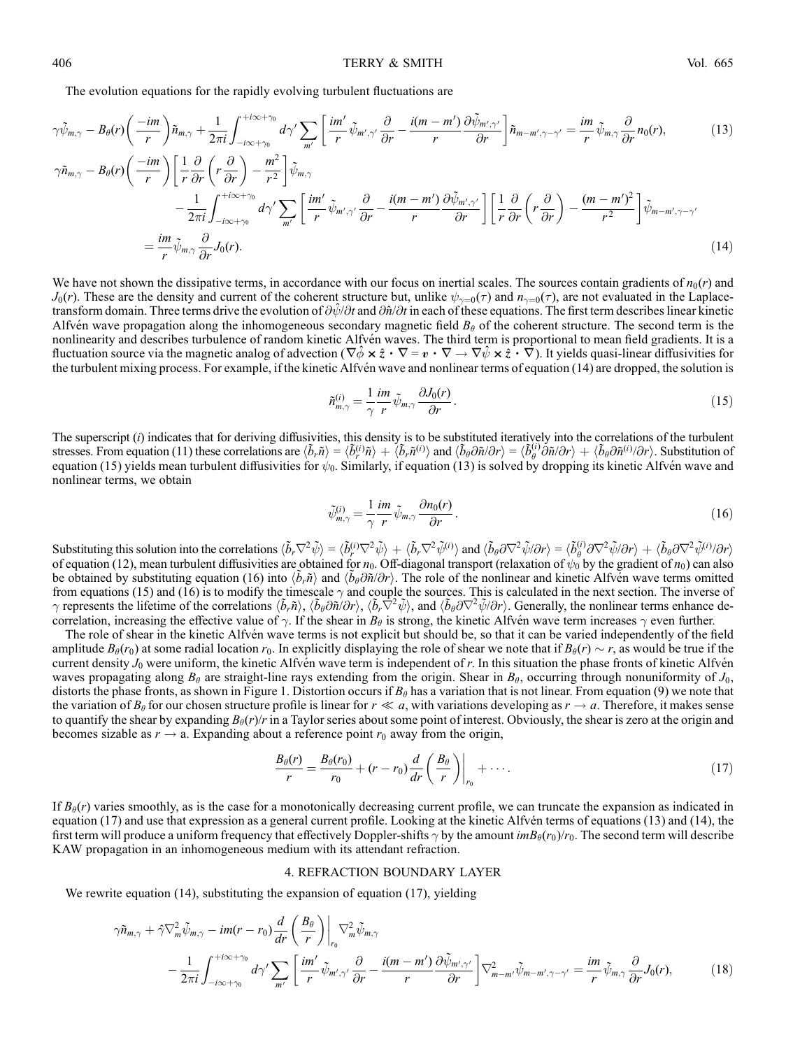406 TERRY & SMITH Vol. 665

The evolution equations for the rapidly evolving turbulent fluctuations are

$$
\gamma \tilde{\psi}_{m,\gamma} - B_{\theta}(r) \left( \frac{-im}{r} \right) \tilde{n}_{m,\gamma} + \frac{1}{2\pi i} \int_{-i\infty + \gamma_0}^{+i\infty + \gamma_0} d\gamma' \sum_{m'} \left[ \frac{im'}{r} \tilde{\psi}_{m',\gamma'} \frac{\partial}{\partial r} - \frac{i(m-m')}{r} \frac{\partial \tilde{\psi}_{m',\gamma'}}{\partial r} \right] \tilde{n}_{m-m',\gamma-\gamma'} = \frac{im}{r} \tilde{\psi}_{m,\gamma} \frac{\partial}{\partial r} n_0(r),
$$
\n
$$
\gamma \tilde{n}_{m,\gamma} - B_{\theta}(r) \left( \frac{-im}{r} \right) \left[ \frac{1}{r} \frac{\partial}{\partial r} \left( r \frac{\partial}{\partial r} \right) - \frac{m^2}{r^2} \right] \tilde{\psi}_{m,\gamma}
$$
\n
$$
- \frac{1}{2\pi i} \int_{-i\infty + \gamma_0}^{+i\infty + \gamma_0} d\gamma' \sum_{m'} \left[ \frac{im'}{r} \tilde{\psi}_{m',\gamma'} \frac{\partial}{\partial r} - \frac{i(m-m')}{r} \frac{\partial \tilde{\psi}_{m',\gamma'}}{\partial r} \right] \left[ \frac{1}{r} \frac{\partial}{\partial r} \left( r \frac{\partial}{\partial r} \right) - \frac{(m-m')^2}{r^2} \right] \tilde{\psi}_{m-m',\gamma-\gamma'}
$$
\n
$$
= \frac{im}{r} \tilde{\psi}_{m,\gamma} \frac{\partial}{\partial r} J_0(r).
$$
\n(14)

We have not shown the dissipative terms, in accordance with our focus on inertial scales. The sources contain gradients of  $n_0(r)$  and  $J_0(r)$ . These are the density and current of the coherent structure but, unlike  $\psi_{\gamma=0}(\tau)$  and  $n_{\gamma=0}(\tau)$ , are not evaluated in the Laplacetransform domain. Three terms drive the evolution of  $\partial \psi / \partial t$  and  $\partial \hat{n} / \partial t$  in each of these equations. The first term describes linear kinetic Alfvén wave propagation along the inhomogeneous secondary magnetic field  $B_\theta$  of the coherent structure. The second term is the nonlinearity and describes turbulence of random kinetic Alfvén waves. The third term is proportional to mean field gradients. It is a fluctuation source via the magnetic analog of advection ( $\nabla \phi \times \hat{z} \cdot \nabla = \mathbf{v} \cdot \nabla \rightarrow \nabla \psi \times \hat{z} \cdot \nabla$ ). It yields quasi-linear diffusivities for the turbulent mixing process. For example, if the kinetic Alfvén wave and nonlinear terms of equation (14) are dropped, the solution is

$$
\tilde{n}_{m,\gamma}^{(i)} = \frac{1}{\gamma} \frac{im}{r} \tilde{\psi}_{m,\gamma} \frac{\partial J_0(r)}{\partial r}.
$$
\n(15)

The superscript  $(i)$  indicates that for deriving diffusivities, this density is to be substituted iteratively into the correlations of the turbulent stresses. From equation (11) these correlations are  $\langle \tilde{b}_r \tilde{n} \rangle = \langle \tilde{b}_r^{\langle i \rangle} \tilde{n} \rangle + \langle \tilde{b}_r \tilde{n}^{\langle i \rangle} \rangle$  and  $\langle \tilde{b}_\theta \partial \tilde{n} / \partial r \rangle = \langle \tilde{b}_\theta^{\langle i \rangle} \partial \tilde{n} / \partial r \rangle + \langle \tilde{b}_\theta \partial \tilde{n}^{\langle i \rangle} / \partial r \rangle$ . Substitut equation (15) yields mean turbulent diffusivities for  $\psi_0$ . Similarly, if equation (13) is solved by dropping its kinetic Alfvén wave and nonlinear terms, we obtain

$$
\tilde{\psi}_{m,\gamma}^{(i)} = \frac{1}{\gamma} \frac{im}{r} \tilde{\psi}_{m,\gamma} \frac{\partial n_0(r)}{\partial r}.
$$
\n(16)

Substituting this solution into the correlations  $\langle \tilde{b}_r \nabla^2 \tilde{\psi} \rangle = \langle \tilde{b}_r^{\{i\}} \nabla^2 \tilde{\psi} \rangle + \langle \tilde{b}_r \nabla^2 \tilde{\psi}^{\{i\}} \rangle$  and  $\langle \tilde{b}_\theta \partial \nabla^2 \tilde{\psi} \partial r \rangle = \langle \tilde{b}_\theta^{\{i\}} \partial \nabla^2 \tilde{\psi} \partial r \rangle + \langle \tilde{b}_\theta \partial \nab$ of equation (12), mean turbulent diffusivities are obtained for  $n_0$ . Off-diagonal transport (relaxation of  $\psi_0$  by the gradient of  $n_0$ ) can also be obtained by substituting equation (16) into  $\langle \tilde{b}_r \tilde{n} \rangle$  and  $\langle \tilde{b}_\theta \partial \tilde{n}/\partial r \rangle$ . The role of the nonlinear and kinetic Alfven wave terms omitted from equations (15) and (16) is to modify the timescale  $\gamma$  and couple the sources. This is calculated in the next section. The inverse of  $\gamma$  represents the lifetime of the correlations  $\langle \tilde{b}_r \tilde{n} \rangle$ ,  $\langle \tilde{b}_\theta \partial \tilde{n}/\partial r \rangle$ ,  $\langle \tilde{b}_r \nabla^2 \tilde{\psi} \rangle$ , and  $\langle \tilde{b}_\theta \partial \nabla^2 \tilde{\psi}/\partial r \rangle$ . Generally, the nonlinear terms enhance decorrelation, increasing the effective value of  $\gamma$ . If the shear in  $B_\theta$  is strong, the kinetic Alfvén wave term increases  $\gamma$  even further.

The role of shear in the kinetic Alfvén wave terms is not explicit but should be, so that it can be varied independently of the field amplitude  $B_{\theta}(r_0)$  at some radial location  $r_0$ . In explicitly displaying the role of shear we note that if  $B_{\theta}(r) \sim r$ , as would be true if the current density  $J_0$  were uniform, the kinetic Alfvén wave term is independent of r. In this situation the phase fronts of kinetic Alfvén waves propagating along  $B_\theta$  are straight-line rays extending from the origin. Shear in  $B_\theta$ , occurring through nonuniformity of  $J_0$ , distorts the phase fronts, as shown in Figure 1. Distortion occurs if  $B_\theta$  has a variation that is not linear. From equation (9) we note that the variation of  $B_\theta$  for our chosen structure profile is linear for  $r \ll a$ , with variations developing as  $r \to a$ . Therefore, it makes sense to quantify the shear by expanding  $B_{\theta}(r)/r$  in a Taylor series about some point of interest. Obviously, the shear is zero at the origin and becomes sizable as  $r \to a$ . Expanding about a reference point  $r_0$  away from the origin,

$$
\frac{B_{\theta}(r)}{r} = \frac{B_{\theta}(r_0)}{r_0} + (r - r_0) \frac{d}{dr} \left(\frac{B_{\theta}}{r}\right)\Big|_{r_0} + \cdots
$$
\n(17)

If  $B_\theta(r)$  varies smoothly, as is the case for a monotonically decreasing current profile, we can truncate the expansion as indicated in equation  $(17)$  and use that expression as a general current profile. Looking at the kinetic Alfvén terms of equations  $(13)$  and  $(14)$ , the first term will produce a uniform frequency that effectively Doppler-shifts  $\gamma$  by the amount  $im\beta_{\theta}(r_0)/r_0$ . The second term will describe KAW propagation in an inhomogeneous medium with its attendant refraction.

#### 4. REFRACTION BOUNDARY LAYER

We rewrite equation (14), substituting the expansion of equation (17), yielding

$$
\gamma \tilde{n}_{m,\gamma} + \hat{\gamma} \nabla_m^2 \tilde{\psi}_{m,\gamma} - im(r - r_0) \frac{d}{dr} \left(\frac{B_\theta}{r}\right) \Big|_{r_0} \nabla_m^2 \tilde{\psi}_{m,\gamma} \n- \frac{1}{2\pi i} \int_{-i\infty + \gamma_0}^{+i\infty + \gamma_0} d\gamma' \sum_{m'} \left[ \frac{im'}{r} \tilde{\psi}_{m',\gamma'} \frac{\partial}{\partial r} - \frac{i(m - m')}{r} \frac{\partial \tilde{\psi}_{m',\gamma'}}{\partial r} \right] \nabla_{m-m'}^2 \tilde{\psi}_{m-m',\gamma-\gamma'} = \frac{im}{r} \tilde{\psi}_{m,\gamma} \frac{\partial}{\partial r} J_0(r),
$$
\n(18)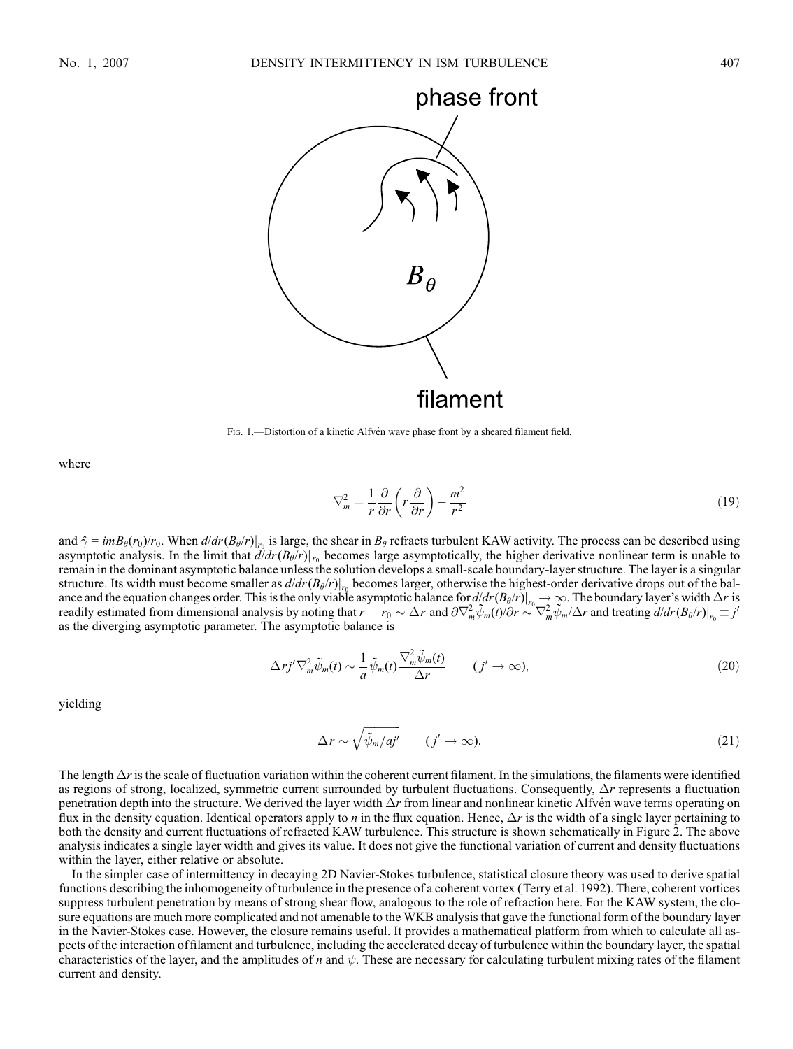

filament

Fig. 1.—Distortion of a kinetic Alfvén wave phase front by a sheared filament field.

where

$$
\nabla_m^2 = \frac{1}{r} \frac{\partial}{\partial r} \left( r \frac{\partial}{\partial r} \right) - \frac{m^2}{r^2} \tag{19}
$$

and  $\hat{\gamma} = imB_{\theta}(r_0)/r_0$ . When  $d/dr(B_{\theta}/r)|_{r_0}$  is large, the shear in  $B_{\theta}$  refracts turbulent KAW activity. The process can be described using asymptotic analysis. In the limit that  $d/dr(B_\theta/r)|_{r_0}$  becomes large asymptotically, the higher derivative nonlinear term is unable to remain in the dominant asymptotic balance unless the solution develops a small-scale boundary-layer structure. The layer is a singular structure. Its width must become smaller as  $d/dr(B_\theta/r)|_{r_0}$  becomes larger, otherwise the highest-order derivative drops out of the balance and the equation changes order. This is the only viable asymptotic balance for  $d/dr (B_\theta/r)|_{r_0 \to \infty}$ . The boundary layer's width  $\Delta r$  is readily estimated from dimensional analysis by noting that  $r - r_0 \sim \Delta r$  and  $\frac{\partial \nabla_m^2 \tilde{\psi}_m(t)}{\partial r} \sim \nabla_m^2 \tilde{\psi}_m/\Delta r$  and treating  $\frac{d}{dr} (B_\theta/r)|_{r_0} \equiv j'$ as the diverging asymptotic parameter. The asymptotic balance is

$$
\Delta r j' \nabla_m^2 \tilde{\psi}_m(t) \sim \frac{1}{a} \tilde{\psi}_m(t) \frac{\nabla_m^2 \tilde{\psi}_m(t)}{\Delta r} \qquad (j' \to \infty),
$$
\n(20)

yielding

$$
\Delta r \sim \sqrt{\tilde{\psi}_m / a j'} \qquad (j' \to \infty). \tag{21}
$$

The length  $\Delta r$  is the scale of fluctuation variation within the coherent current filament. In the simulations, the filaments were identified as regions of strong, localized, symmetric current surrounded by turbulent fluctuations. Consequently,  $\Delta r$  represents a fluctuation penetration depth into the structure. We derived the layer width  $\Delta r$  from linear and nonlinear kinetic Alfvén wave terms operating on flux in the density equation. Identical operators apply to *n* in the flux equation. Hence,  $\Delta r$  is the width of a single layer pertaining to both the density and current fluctuations of refracted KAW turbulence. This structure is shown schematically in Figure 2. The above analysis indicates a single layer width and gives its value. It does not give the functional variation of current and density fluctuations within the layer, either relative or absolute.

In the simpler case of intermittency in decaying 2D Navier-Stokes turbulence, statistical closure theory was used to derive spatial functions describing the inhomogeneity of turbulence in the presence of a coherent vortex (Terry et al. 1992). There, coherent vortices suppress turbulent penetration by means of strong shear flow, analogous to the role of refraction here. For the KAW system, the closure equations are much more complicated and not amenable to the WKB analysis that gave the functional form of the boundary layer in the Navier-Stokes case. However, the closure remains useful. It provides a mathematical platform from which to calculate all aspects of the interaction of filament and turbulence, including the accelerated decay of turbulence within the boundary layer, the spatial characteristics of the layer, and the amplitudes of n and  $\psi$ . These are necessary for calculating turbulent mixing rates of the filament current and density.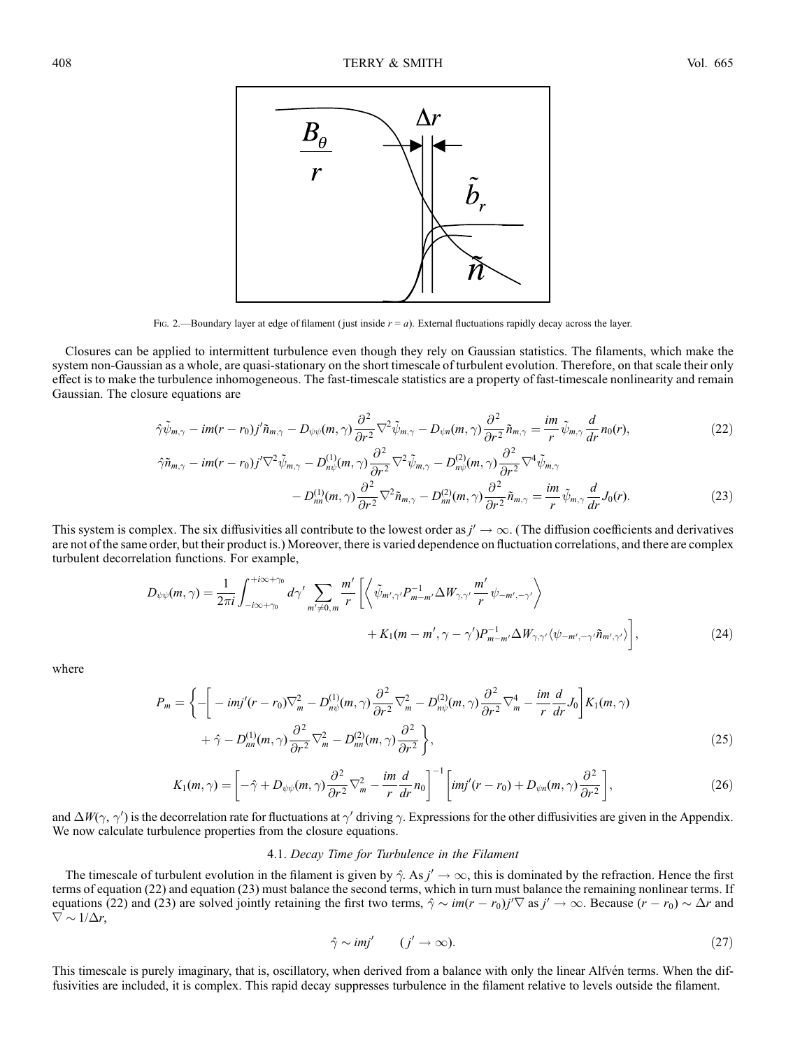

Fig. 2.—Boundary layer at edge of filament (just inside  $r = a$ ). External fluctuations rapidly decay across the layer.

Closures can be applied to intermittent turbulence even though they rely on Gaussian statistics. The filaments, which make the system non-Gaussian as a whole, are quasi-stationary on the short timescale of turbulent evolution. Therefore, on that scale their only effect is to make the turbulence inhomogeneous. The fast-timescale statistics are a property of fast-timescale nonlinearity and remain Gaussian. The closure equations are

$$
\hat{\gamma}\tilde{\psi}_{m,\gamma} - im(r - r_0)j'\tilde{n}_{m,\gamma} - D_{\psi\psi}(m,\gamma)\frac{\partial^2}{\partial r^2}\nabla^2\tilde{\psi}_{m,\gamma} - D_{\psi n}(m,\gamma)\frac{\partial^2}{\partial r^2}\tilde{n}_{m,\gamma} = \frac{im}{r}\tilde{\psi}_{m,\gamma}\frac{d}{dr}n_0(r),\tag{22}
$$

$$
\hat{\gamma}\tilde{n}_{m,\gamma} - im(r - r_0)j'\nabla^2 \tilde{\psi}_{m,\gamma} - D_{n\psi}^{(1)}(m,\gamma)\frac{\partial^2}{\partial r^2}\nabla^2 \tilde{\psi}_{m,\gamma} - D_{n\psi}^{(2)}(m,\gamma)\frac{\partial^2}{\partial r^2}\nabla^4 \tilde{\psi}_{m,\gamma} - D_{nn}^{(1)}(m,\gamma)\frac{\partial^2}{\partial r^2}\nabla^2 \tilde{n}_{m,\gamma} - D_{nn}^{(2)}(m,\gamma)\frac{\partial^2}{\partial r^2}\tilde{n}_{m,\gamma} = \frac{im}{r}\tilde{\psi}_{m,\gamma}\frac{d}{dr}J_0(r).
$$
\n(23)

This system is complex. The six diffusivities all contribute to the lowest order as  $j' \to \infty$ . (The diffusion coefficients and derivatives are not of the same order, but their product is.) Moreover, there is varied dependence on fluctuation correlations, and there are complex turbulent decorrelation functions. For example,

$$
D_{\psi\psi}(m,\gamma) = \frac{1}{2\pi i} \int_{-i\infty+\gamma_0}^{+i\infty+\gamma_0} d\gamma' \sum_{m'\neq 0,m} \frac{m'}{r} \left[ \left\langle \tilde{\psi}_{m',\gamma'} P_{m-m'}^{-1} \Delta W_{\gamma,\gamma'} \frac{m'}{r} \psi_{-m',-\gamma'} \right\rangle \right. \\ \left. + K_1(m-m',\gamma-\gamma') P_{m-m'}^{-1} \Delta W_{\gamma,\gamma'} \langle \psi_{-m',-\gamma'} \tilde{n}_{m',\gamma'} \rangle \right], \tag{24}
$$

where

$$
P_m = \left\{ -\left[ -imj'(r - r_0)\nabla_m^2 - D_{n\psi}^{(1)}(m, \gamma) \frac{\partial^2}{\partial r^2} \nabla_m^2 - D_{n\psi}^{(2)}(m, \gamma) \frac{\partial^2}{\partial r^2} \nabla_m^4 - \frac{im}{r} \frac{d}{dr} J_0 \right] K_1(m, \gamma) + \hat{\gamma} - D_{nn}^{(1)}(m, \gamma) \frac{\partial^2}{\partial r^2} \nabla_m^2 - D_{nn}^{(2)}(m, \gamma) \frac{\partial^2}{\partial r^2} \right\},
$$
\n(25)

$$
K_1(m,\gamma) = \left[ -\hat{\gamma} + D_{\psi\psi}(m,\gamma) \frac{\partial^2}{\partial r^2} \nabla_m^2 - \frac{im}{r} \frac{d}{dr} n_0 \right]^{-1} \left[ imj'(r - r_0) + D_{\psi n}(m,\gamma) \frac{\partial^2}{\partial r^2} \right],\tag{26}
$$

and  $\Delta W(\gamma, \gamma')$  is the decorrelation rate for fluctuations at  $\gamma'$  driving  $\gamma$ . Expressions for the other diffusivities are given in the Appendix. We now calculate turbulence properties from the closure equations.

## 4.1. Decay Time for Turbulence in the Filament

The timescale of turbulent evolution in the filament is given by  $\hat{\gamma}$ . As  $j' \to \infty$ , this is dominated by the refraction. Hence the first terms of equation (22) and equation (23) must balance the second terms, which in turn must balance the remaining nonlinear terms. If equations (22) and (23) are solved jointly retaining the first two terms,  $\hat{\gamma} \sim im(r - r_0)j' \nabla$  as  $j' \to \infty$ . Because  $(r - r_0) \sim \Delta r$  and  $\nabla \sim 1/\Delta r$ ,

$$
\hat{\gamma} \sim imj' \qquad (j' \to \infty). \tag{27}
$$

This timescale is purely imaginary, that is, oscillatory, when derived from a balance with only the linear Alfvén terms. When the diffusivities are included, it is complex. This rapid decay suppresses turbulence in the filament relative to levels outside the filament.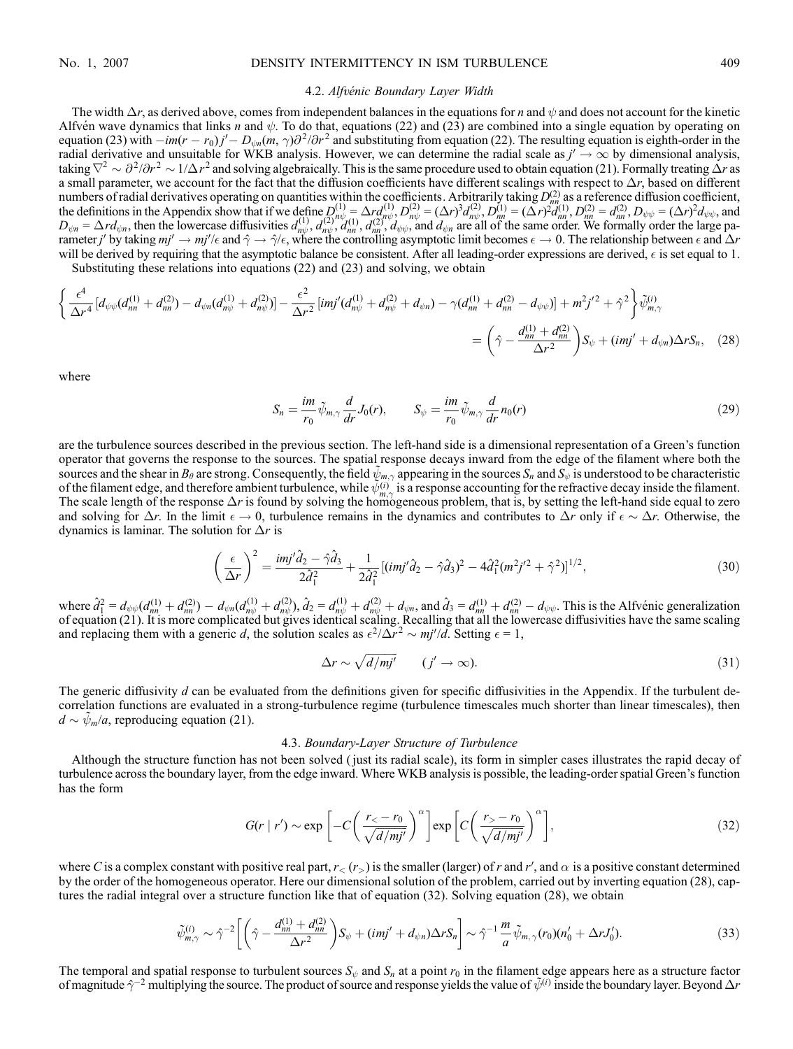#### No. 1, 2007 DENSITY INTERMITTENCY IN ISM TURBULENCE 409

#### 4.2. Alfvénic Boundary Layer Width

The width  $\Delta r$ , as derived above, comes from independent balances in the equations for *n* and  $\psi$  and does not account for the kinetic Alfvén wave dynamics that links n and  $\psi$ . To do that, equations (22) and (23) are combined into a single equation by operating on equation (23) with  $-im(r - r_0)j' - D_{\psi n}(m, \gamma)\partial^2/\partial r^2$  and substituting from equation (22). The resulting equation is eighth-order in the radial derivative and unsuitable for WKB analysis. However, we can determine the radial scale as  $j' \to \infty$  by dimensional analysis, taking  $\nabla^2 \sim \partial^2/\partial r^2 \sim 1/\Delta r^2$  and solving algebraically. This is the same procedure used to obtain equation (21). Formally treating  $\Delta r$  as a small parameter, we account for the fact that the diffusion coefficients have different scalings with respect to  $\Delta r$ , based on different numbers of radial derivatives operating on quantities within the coefficients. Arbitrarily taking  $D_{nm}^{(2)}$  as a reference diffusion coefficient, the definitions in the Appendix show that if we define  $D_{n\psi}^{(1)} = \Delta r d_{n\psi}^{(1)}$ ,  $D_{n\psi}^{(2)} = (\Delta r)^3 d_{n\psi}^{(2)}$ ,  $D_{n\mu}^{(1)} = (\Delta r)^2 d_{n\eta}^{(1)}$ ,  $D_{n\eta}^{(2)} = d_{n\eta}^{(2)}$ ,  $D_{\psi\psi} = (\Delta r)^2 d_{\psi\psi}$ , and  $D_{\psi n} = \Delta r d_{\psi n}$ , then the lowercase diffusivities  $d_{n\psi}^{(1)}$ ,  $d_{n\psi}^{(2)}$ ,  $d_{n\psi}^{(1)}$ ,  $d_{n\psi}^{(2)}$ ,  $d_{\psi n}^{(1)}$ , and  $d_{\psi n}$  are all of the same order. We formally order the large parameter *j*' by taking  $mj' \to mj'/\epsilon$  and  $\hat{\gamma} \to \hat{\gamma}/\epsilon$ , where the controlling asymptotic limit becomes  $\epsilon \to 0$ . The relationship between  $\epsilon$  and  $\Delta r$ will be derived by requiring that the asymptotic balance be consistent. After all leading-order expressions are derived,  $\epsilon$  is set equal to 1.

Substituting these relations into equations (22) and (23) and solving, we obtain

$$
\begin{split}\n\left\{\frac{\epsilon^{4}}{\Delta r^{4}}\left[d_{\psi\psi}(d_{nn}^{(1)}+d_{nn}^{(2)})-d_{\psi n}(d_{n\psi}^{(1)}+d_{n\psi}^{(2)})\right]-\frac{\epsilon^{2}}{\Delta r^{2}}\left[i m j'(d_{n\psi}^{(1)}+d_{n\psi}^{(2)}+d_{\psi n})-\gamma(d_{nn}^{(1)}+d_{nn}^{(2)}-d_{\psi\psi})\right]+m^{2}j'^{2}+\hat{\gamma}^{2}\right\}\tilde{\psi}_{m,\gamma}^{(i)}\\
= \left(\hat{\gamma}-\frac{d_{nn}^{(1)}+d_{nn}^{(2)}}{\Delta r^{2}}\right)S_{\psi}+(imj'+d_{\psi n})\Delta rS_{n},\quad(28)\n\end{split}
$$

where

$$
S_n = \frac{im}{r_0} \tilde{\psi}_{m,\gamma} \frac{d}{dr} J_0(r), \qquad S_{\psi} = \frac{im}{r_0} \tilde{\psi}_{m,\gamma} \frac{d}{dr} n_0(r) \tag{29}
$$

are the turbulence sources described in the previous section. The left-hand side is a dimensional representation of a Green's function operator that governs the response to the sources. The spatial response decays inward from the edge of the filament where both the sources and the shear in  $B_\theta$  are strong. Consequently, the field  $\tilde{\psi}_{m,\gamma}$  appearing in the sources  $S_n$  and  $S_\psi$  is understood to be characteristic of the filament edge, and therefore ambient turbulence, while  $\tilde{\psi}_{m,\gamma}^{(i)}$  is a response accounting for the refractive decay inside the filament. The scale length of the response  $\Delta r$  is found by solving the homogeneous problem, that is, by setting the left-hand side equal to zero and solving for  $\Delta r$ . In the limit  $\epsilon \to 0$ , turbulence remains in the dynamics and contributes to  $\Delta r$  only if  $\epsilon \sim \Delta r$ . Otherwise, the dynamics is laminar. The solution for  $\Delta r$  is

$$
\left(\frac{\epsilon}{\Delta r}\right)^2 = \frac{imj'\hat{d}_2 - \hat{\gamma}\hat{d}_3}{2\hat{d}_1^2} + \frac{1}{2\hat{d}_1^2} \left[ (imj'\hat{d}_2 - \hat{\gamma}\hat{d}_3)^2 - 4\hat{d}_1^2(m^2j'^2 + \hat{\gamma}^2) \right]^{1/2},\tag{30}
$$

where  $\hat{d}_{1}^{2} = d_{\psi\psi}(d_{nn}^{(1)} + d_{nn}^{(2)}) - d_{\psi n}(d_{n\psi}^{(1)} + d_{n\psi}^{(2)})$ ,  $\hat{d}_{2} = d_{n\psi}^{(1)} + d_{n\psi}^{(2)} + d_{\psi n}$ , and  $\hat{d}_{3} = d_{nn}^{(1)} + d_{nn}^{(2)} - d_{\psi\psi}$ . This is the Alfvenic generalization of equation (21). It is more complicated but gives identical scaling. Recalling that all the lowercase diffusivities have the same scaling and replacing them with a generic d, the solution scales as  $\epsilon^2/\Delta r^2 \sim mj'/d$ . Setting  $\epsilon = 1$ ,

$$
\Delta r \sim \sqrt{d/mj'} \qquad (j' \to \infty). \tag{31}
$$

The generic diffusivity  $d$  can be evaluated from the definitions given for specific diffusivities in the Appendix. If the turbulent decorrelation functions are evaluated in a strong-turbulence regime (turbulence timescales much shorter than linear timescales), then  $d \sim \tilde{\psi}_m/a$ , reproducing equation (21).

#### 4.3. Boundary-Layer Structure of Turbulence

Although the structure function has not been solved ( just its radial scale), its form in simpler cases illustrates the rapid decay of turbulence across the boundary layer, from the edge inward. Where WKB analysis is possible, the leading-order spatial Green's function has the form

$$
G(r \mid r') \sim \exp\left[-C\left(\frac{r_{<} - r_{0}}{\sqrt{d/mj'}}\right)^{\alpha}\right] \exp\left[C\left(\frac{r_{>} - r_{0}}{\sqrt{d/mj'}}\right)^{\alpha}\right],\tag{32}
$$

where C is a complex constant with positive real part,  $r_<(r_>)$  is the smaller (larger) of r and  $r'$ , and  $\alpha$  is a positive constant determined by the order of the homogeneous operator. Here our dimensional solution of the problem, carried out by inverting equation (28), captures the radial integral over a structure function like that of equation (32). Solving equation (28), we obtain

$$
\tilde{\psi}_{m,\gamma}^{(i)} \sim \hat{\gamma}^{-2} \bigg[ \bigg( \hat{\gamma} - \frac{d_{nn}^{(1)} + d_{nn}^{(2)}}{\Delta r^2} \bigg) S_{\psi} + (imj' + d_{\psi n}) \Delta r S_n \bigg] \sim \hat{\gamma}^{-1} \frac{m}{a} \tilde{\psi}_{m,\gamma}(r_0) (n'_0 + \Delta r J'_0). \tag{33}
$$

The temporal and spatial response to turbulent sources  $S_{\psi}$  and  $S_n$  at a point  $r_0$  in the filament edge appears here as a structure factor of magnitude  $\hat{\gamma}^{-2}$  multiplying the source. The product of source and response yields the value of  $\tilde{\psi}^{(i)}$  inside the boundary layer. Beyond  $\Delta r$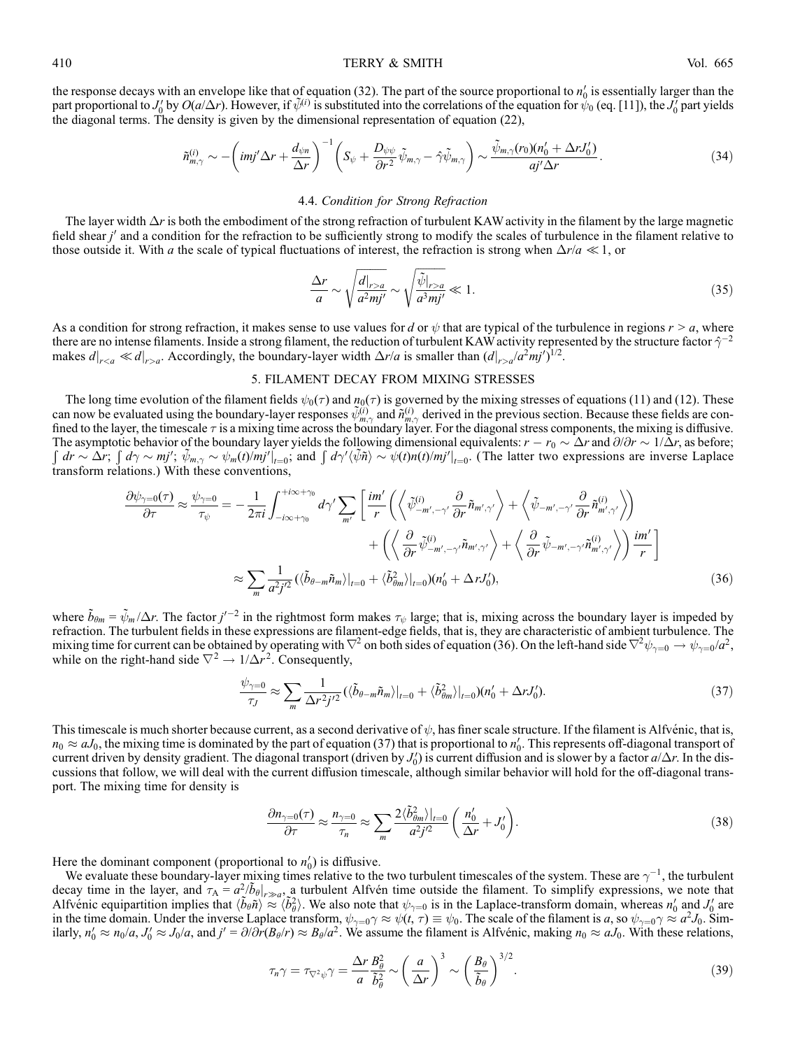410 **TERRY & SMITH** Vol. 665

the response decays with an envelope like that of equation (32). The part of the source proportional to  $n'_0$  is essentially larger than the part proportional to  $J_0'$  by  $O(a/\Delta r)$ . However, if  $\tilde{\psi}^{(i)}$  is substituted into the correlations of the equation for  $\psi_0$  (eq. [11]), the  $J_0'$  part yields the diagonal terms. The density is given by the dimensional representation of equation (22),

$$
\tilde{n}_{m,\gamma}^{(i)} \sim -\left(imj'\Delta r + \frac{d_{\psi n}}{\Delta r}\right)^{-1} \left(S_{\psi} + \frac{D_{\psi\psi}}{\partial r^2}\tilde{\psi}_{m,\gamma} - \hat{\gamma}\tilde{\psi}_{m,\gamma}\right) \sim \frac{\tilde{\psi}_{m,\gamma}(r_0)(n_0' + \Delta rJ_0')}{aj'\Delta r}.
$$
\n(34)

## 4.4. Condition for Strong Refraction

The layer width  $\Delta r$  is both the embodiment of the strong refraction of turbulent KAW activity in the filament by the large magnetic field shear  $j'$  and a condition for the refraction to be sufficiently strong to modify the scales of turbulence in the filament relative to those outside it. With a the scale of typical fluctuations of interest, the refraction is strong when  $\Delta r/a \ll 1$ , or

$$
\frac{\Delta r}{a} \sim \sqrt{\frac{d|_{r>a}}{a^2 m j'}} \sim \sqrt{\frac{\tilde{\psi}|_{r>a}}{a^3 m j'}} \ll 1.
$$
\n(35)

As a condition for strong refraction, it makes sense to use values for d or  $\psi$  that are typical of the turbulence in regions  $r > a$ , where there are no intense filaments. Inside a strong filament, the reduction of turbulent KAW activity represented by the structure factor  $\hat{\gamma}^{-2}$ makes  $d|_{r>a} \ll d|_{r>a}$ . Accordingly, the boundary-layer width  $\Delta r/a$  is smaller than  $(d|_{r>a}/a^2mj')^{1/2}$ .

# 5. FILAMENT DECAY FROM MIXING STRESSES

The long time evolution of the filament fields  $\psi_0(\tau)$  and  $n_0(\tau)$  is governed by the mixing stresses of equations (11) and (12). These can now be evaluated using the boundary-layer responses  $\tilde{\psi}_{m,\gamma}^{(i)}$  and  $\tilde{n}_{m,\gamma}^{(i)}$  derived in the previous section. Because these fields are confined to the layer, the timescale  $\tau$  is a mixing time across the boundary layer. For the diagonal stress components, the mixing is diffusive. The asymptotic behavior of the boundary layer yields the following dimensional equivalents:  $r - r_0 \sim \Delta r$  and  $\partial/\partial r \sim 1/\Delta r$ , as before; The asymptotic behavior of the boundary layer yields the following dimensional equivalents.  $\theta = r_0 \approx \Delta r$  and  $\theta/\theta r \approx 1/\Delta r$ , as before,  $\int dr \sim \Delta r$ ;  $\int d\gamma \sim mj'$ ;  $\tilde{\psi}_{m,\gamma} \sim \psi_m(t)/mj'|_{t=0}$ ; and  $\int d\gamma'(\tilde{\psi}\tilde{n}) \sim \psi(t)n(t)/mj'|$ transform relations.) With these conventions,

$$
\frac{\partial \psi_{\gamma=0}(\tau)}{\partial \tau} \approx \frac{\psi_{\gamma=0}}{\tau_{\psi}} = -\frac{1}{2\pi i} \int_{-i\infty+\gamma_0}^{+i\infty+\gamma_0} d\gamma' \sum_{m'} \left[ \frac{im'}{r} \left( \left\langle \tilde{\psi}_{-m',-\gamma'}^{(i)} \frac{\partial}{\partial r} \tilde{n}_{m',\gamma'} \right\rangle + \left\langle \tilde{\psi}_{-m',-\gamma'} \frac{\partial}{\partial r} \tilde{n}_{m',\gamma'}^{(i)} \right\rangle \right) \right. \\ \left. + \left( \left\langle \frac{\partial}{\partial r} \tilde{\psi}_{-m',-\gamma'}^{(i)} \tilde{n}_{m',\gamma'} \right\rangle + \left\langle \frac{\partial}{\partial r} \tilde{\psi}_{-m',-\gamma'} \tilde{n}_{m',\gamma'}^{(i)} \right\rangle \right) \frac{im'}{r} \right] \approx \sum_{m} \frac{1}{a^2 j'^2} \left( \langle \tilde{b}_{\theta-m} \tilde{n}_m \rangle \big|_{t=0} + \langle \tilde{b}_{\theta m}^2 \rangle \big|_{t=0} \right) (n'_0 + \Delta r J'_0), \tag{36}
$$

where  $\tilde{b}_{\theta m} = \tilde{\psi}_m / \Delta r$ . The factor  $j'^{-2}$  in the rightmost form makes  $\tau_{\psi}$  large; that is, mixing across the boundary layer is impeded by refraction. The turbulent fields in these expressions are filament-edge fields, that is, they are characteristic of ambient turbulence. The mixing time for current can be obtained by operating with  $\nabla^2$  on both sides of equation (36). On the left-hand side  $\nabla^2 \psi_{\gamma=0} \to \psi_{\gamma=0}/a^2$ , while on the right-hand side  $\nabla^2 \rightarrow 1/\Delta r^2$ . Consequently,

$$
\frac{\psi_{\gamma=0}}{\tau_J} \approx \sum_m \frac{1}{\Delta r^2 j'^2} \left( \langle \tilde{b}_{\theta-m} \tilde{n}_m \rangle \vert_{t=0} + \langle \tilde{b}_{\theta m}^2 \rangle \vert_{t=0} \right) \left( n'_0 + \Delta r J'_0 \right). \tag{37}
$$

This timescale is much shorter because current, as a second derivative of  $\psi$ , has finer scale structure. If the filament is Alfvénic, that is,  $n_0 \approx aJ_0$ , the mixing time is dominated by the part of equation (37) that is proportional to  $n'_0$ . This represents off-diagonal transport of current driven by density gradient. The diagonal transport (driven by  $J'_0$ ) is current diffusion and is slower by a factor  $a/\Delta r$ . In the discussions that follow, we will deal with the current diffusion timescale, although similar behavior will hold for the off-diagonal transport. The mixing time for density is

$$
\frac{\partial n_{\gamma=0}(\tau)}{\partial \tau} \approx \frac{n_{\gamma=0}}{\tau_n} \approx \sum_m \frac{2 \langle \tilde{b}_{\theta m}^2 \rangle|_{t=0}}{a^2 j'^2} \left( \frac{n'_0}{\Delta r} + J'_0 \right). \tag{38}
$$

Here the dominant component (proportional to  $n'_0$ ) is diffusive.

We evaluate these boundary-layer mixing times relative to the two turbulent timescales of the system. These are  $\gamma^{-1}$ , the turbulent decay time in the layer, and  $\tau_A = a^2/\tilde{b}_\theta|_{r\gg a}$ , a turbulent Alfven time outside the filament. To simplify expressions, we note that Alfvénic equipartition implies that  $\langle \tilde{b}_{\theta} \tilde{n} \rangle \approx \langle \tilde{b}_{\theta}^2 \rangle$ . We also note that  $\psi_{\gamma=0}$  is in the Laplace-transform domain, whereas  $n'_0$  and  $J'_0$  are in the time domain. Under the inverse Laplace transform,  $\psi_{\gamma=0} \gamma \approx \psi(t, \tau) \equiv \psi_0$ . The scale of the filament is a, so  $\psi_{\gamma=0} \gamma \approx a^2 J_0$ . Similarly,  $n'_0 \approx n_0/a$ ,  $J'_0 \approx J_0/a$ , and  $j' = \partial/\partial r(B_\theta/r) \approx B_\theta/a^2$ . We assume the filament is Alfvénic, making  $n_0 \approx aJ_0$ . With these relations,

$$
\tau_n \gamma = \tau_{\nabla^2 \psi} \gamma = \frac{\Delta r}{a} \frac{B_\theta^2}{\tilde{b}_\theta^2} \sim \left(\frac{a}{\Delta r}\right)^3 \sim \left(\frac{B_\theta}{\tilde{b}_\theta}\right)^{3/2}.
$$
\n(39)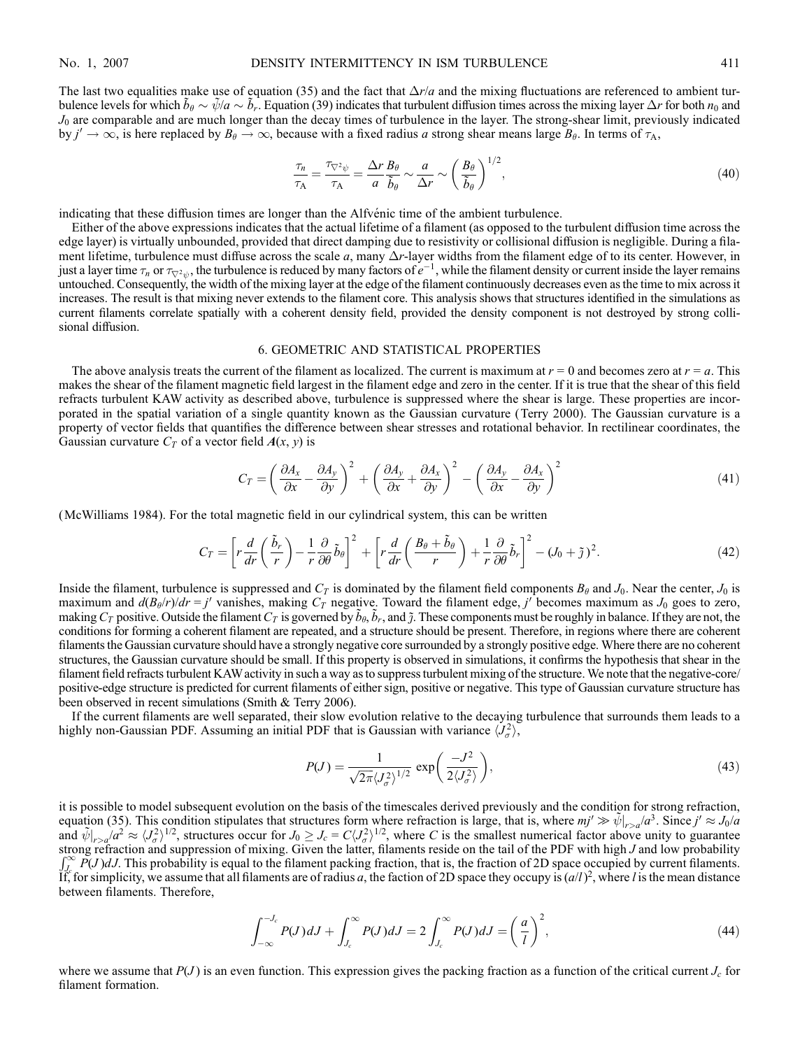The last two equalities make use of equation (35) and the fact that  $\Delta r/a$  and the mixing fluctuations are referenced to ambient turbulence levels for which  $\tilde{b}_\theta \sim \tilde{\psi}/a \sim \tilde{b}_r$ . Equation (39) indicates that turbulent diffusion times across the mixing layer  $\Delta r$  for both  $n_0$  and  $J_0$  are comparable and are much longer than the decay times of turbulence in the layer. The strong-shear limit, previously indicated by  $j' \to \infty$ , is here replaced by  $B_\theta \to \infty$ , because with a fixed radius a strong shear means large  $B_\theta$ . In terms of  $\tau_A$ ,

$$
\frac{\tau_n}{\tau_A} = \frac{\tau_{\nabla^2 \psi}}{\tau_A} = \frac{\Delta r}{a} \frac{B_\theta}{\tilde{b}_\theta} \sim \frac{a}{\Delta r} \sim \left(\frac{B_\theta}{\tilde{b}_\theta}\right)^{1/2},\tag{40}
$$

indicating that these diffusion times are longer than the Alfve $\phi$  time of the ambient turbulence.

Either of the above expressions indicates that the actual lifetime of a filament (as opposed to the turbulent diffusion time across the edge layer) is virtually unbounded, provided that direct damping due to resistivity or collisional diffusion is negligible. During a filament lifetime, turbulence must diffuse across the scale  $a$ , many  $\Delta r$ -layer widths from the filament edge of to its center. However, in just a layer time  $\tau_n$  or  $\tau_{\nabla^2\psi}$ , the turbulence is reduced by many factors of  $e^{-1}$ , while the filament density or current inside the layer remains untouched. Consequently, the width of the mixing layer at the edge of the filament continuously decreases even as the time to mix across it increases. The result is that mixing never extends to the filament core. This analysis shows that structures identified in the simulations as current filaments correlate spatially with a coherent density field, provided the density component is not destroyed by strong collisional diffusion.

## 6. GEOMETRIC AND STATISTICAL PROPERTIES

The above analysis treats the current of the filament as localized. The current is maximum at  $r = 0$  and becomes zero at  $r = a$ . This makes the shear of the filament magnetic field largest in the filament edge and zero in the center. If it is true that the shear of this field refracts turbulent KAW activity as described above, turbulence is suppressed where the shear is large. These properties are incorporated in the spatial variation of a single quantity known as the Gaussian curvature (Terry 2000). The Gaussian curvature is a property of vector fields that quantifies the difference between shear stresses and rotational behavior. In rectilinear coordinates, the Gaussian curvature  $C_T$  of a vector field  $A(x, y)$  is

$$
C_T = \left(\frac{\partial A_x}{\partial x} - \frac{\partial A_y}{\partial y}\right)^2 + \left(\frac{\partial A_y}{\partial x} + \frac{\partial A_x}{\partial y}\right)^2 - \left(\frac{\partial A_y}{\partial x} - \frac{\partial A_x}{\partial y}\right)^2 \tag{41}
$$

(McWilliams 1984). For the total magnetic field in our cylindrical system, this can be written

$$
C_T = \left[ r \frac{d}{dr} \left( \frac{\tilde{b}_r}{r} \right) - \frac{1}{r} \frac{\partial}{\partial \theta} \tilde{b}_\theta \right]^2 + \left[ r \frac{d}{dr} \left( \frac{B_\theta + \tilde{b}_\theta}{r} \right) + \frac{1}{r} \frac{\partial}{\partial \theta} \tilde{b}_r \right]^2 - (J_0 + \tilde{\jmath})^2. \tag{42}
$$

Inside the filament, turbulence is suppressed and  $C_T$  is dominated by the filament field components  $B_\theta$  and  $J_0$ . Near the center,  $J_0$  is maximum and  $d(B_\theta/r)/dr = j'$  vanishes, making  $C_T$  negative. Toward the filament edge, j' becomes maximum as  $J_0$  goes to zero, making  $C_T$  positive. Outside the filament  $C_T$  is governed by  $\tilde{b}_\theta$ ,  $\tilde{b}_r$ , and  $\tilde{j}$ . These components must be roughly in balance. If they are not, the conditions for forming a coherent filament are repeated, and a structure should be present. Therefore, in regions where there are coherent filaments the Gaussian curvature should have a strongly negative core surrounded by a strongly positive edge. Where there are no coherent structures, the Gaussian curvature should be small. If this property is observed in simulations, it confirms the hypothesis that shear in the filament field refracts turbulent KAW activity in such a way as to suppress turbulent mixing of the structure. We note that the negative-core/ positive-edge structure is predicted for current filaments of either sign, positive or negative. This type of Gaussian curvature structure has been observed in recent simulations (Smith & Terry 2006).

If the current filaments are well separated, their slow evolution relative to the decaying turbulence that surrounds them leads to a highly non-Gaussian PDF. Assuming an initial PDF that is Gaussian with variance  $\langle J_{\sigma}^2 \rangle$ ,

$$
P(J) = \frac{1}{\sqrt{2\pi} \langle J_\sigma^2 \rangle^{1/2}} \exp\left(\frac{-J^2}{2\langle J_\sigma^2 \rangle}\right),\tag{43}
$$

it is possible to model subsequent evolution on the basis of the timescales derived previously and the condition for strong refraction, equation (35). This condition stipulates that structures form where refraction is large, that is, where  $mj' \gg \tilde{\psi}|_{r > a}/a^3$ . Since  $j' \approx J_0/a$ and  $\tilde{\psi}|_{r>a}/a^2 \approx \langle J_{\sigma}^2 \rangle^{1/2}$ , structures occur for  $J_0 \geq J_c = C \langle J_{\sigma}^2 \rangle^{1/2}$ , where C is the smallest numerical factor above unity to guarantee strong refraction and suppression of mixing. Given the latter, filaments reside on the tail of the PDF with high J and low probability<br> $\int_{-\infty}^{\infty} B(\lambda) dL$ . This probability is caught to the filament peaking fraction, tha  $\int_{L}^{\infty} P(J) dJ$ . This probability is equal to the filament packing fraction, that is, the fraction of 2D space occupied by current filaments. If, for simplicity, we assume that all filaments are of radius a, the faction of 2D space they occupy is  $(a/l)^2$ , where l is the mean distance between filaments. Therefore,

$$
\int_{-\infty}^{-J_c} P(J) dJ + \int_{J_c}^{\infty} P(J) dJ = 2 \int_{J_c}^{\infty} P(J) dJ = \left(\frac{a}{l}\right)^2,
$$
\n(44)

where we assume that  $P(J)$  is an even function. This expression gives the packing fraction as a function of the critical current  $J_c$  for filament formation.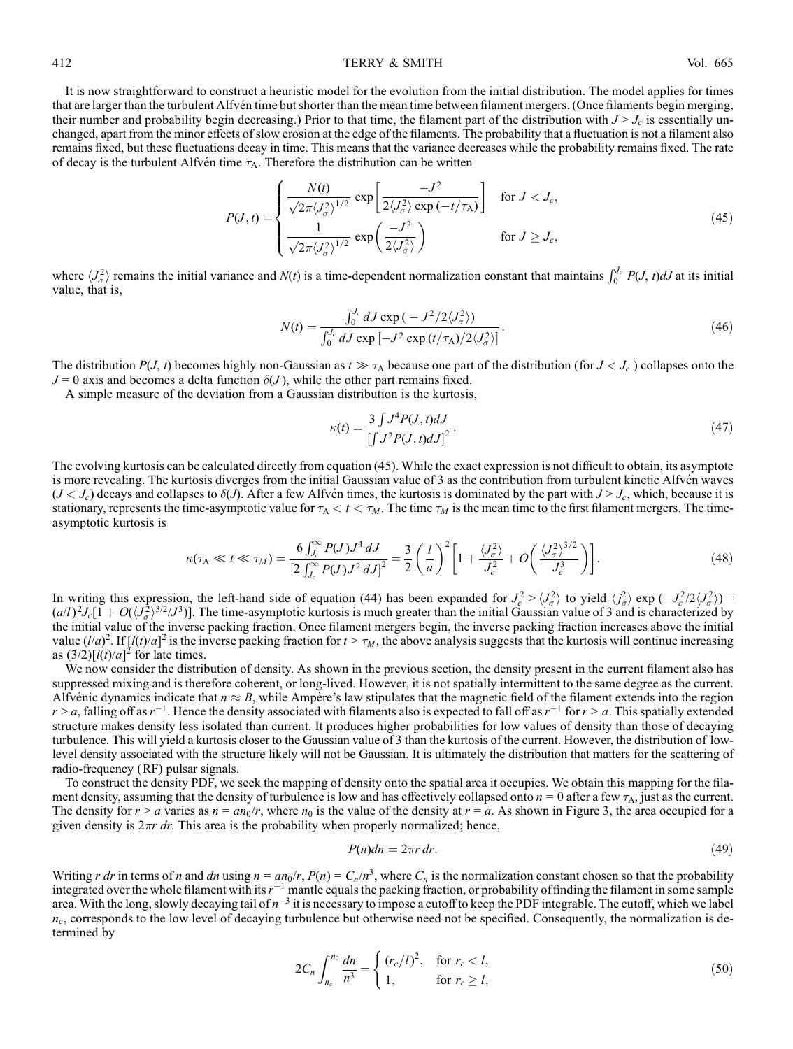#### 412 **TERRY & SMITH** Vol. 665

It is now straightforward to construct a heuristic model for the evolution from the initial distribution. The model applies for times that are larger than the turbulent Alfvén time but shorter than the mean time between filament mergers. (Once filaments begin merging, their number and probability begin decreasing.) Prior to that time, the filament part of the distribution with  $J > J_c$  is essentially unchanged, apart from the minor effects of slow erosion at the edge of the filaments. The probability that a fluctuation is not a filament also remains fixed, but these fluctuations decay in time. This means that the variance decreases while the probability remains fixed. The rate of decay is the turbulent Alfvén time  $\tau_A$ . Therefore the distribution can be written

$$
P(J,t) = \begin{cases} \frac{N(t)}{\sqrt{2\pi} \langle J_{\sigma}^2 \rangle^{1/2}} \exp\left[\frac{-J^2}{2\langle J_{\sigma}^2 \rangle \exp\left(-t/\tau_A\right)}\right] & \text{for } J < J_c, \\ \frac{1}{\sqrt{2\pi} \langle J_{\sigma}^2 \rangle^{1/2}} \exp\left(\frac{-J^2}{2\langle J_{\sigma}^2 \rangle}\right) & \text{for } J \ge J_c, \end{cases}
$$
(45)

where  $\langle J_{\sigma}^2 \rangle$  remains the initial variance and  $N(t)$  is a time-dependent normalization constant that maintains  $\int_0^{J_c} P(J, t) dJ$  at its initial value, that is,

$$
N(t) = \frac{\int_0^{J_c} dJ \exp\left(-J^2/2\langle J_\sigma^2\rangle\right)}{\int_0^{J_c} dJ \exp\left[-J^2 \exp\left(t/\tau_A\right)/2\langle J_\sigma^2\rangle\right]}.
$$
\n(46)

The distribution  $P(J, t)$  becomes highly non-Gaussian as  $t \gg \tau_A$  because one part of the distribution (for  $J < J_c$ ) collapses onto the  $J = 0$  axis and becomes a delta function  $\delta(J)$ , while the other part remains fixed.

A simple measure of the deviation from a Gaussian distribution is the kurtosis,

$$
\kappa(t) = \frac{3 \int J^4 P(J, t) dJ}{\left[ \int J^2 P(J, t) dJ \right]^2}.
$$
\n(47)

The evolving kurtosis can be calculated directly from equation (45). While the exact expression is not difficult to obtain, its asymptote is more revealing. The kurtosis diverges from the initial Gaussian value of 3 as the contribution from turbulent kinetic Alfvén waves  $(J < J_c)$  decays and collapses to  $\delta(J)$ . After a few Alfvén times, the kurtosis is dominated by the part with  $J > J_c$ , which, because it is stationary, represents the time-asymptotic value for  $\tau_A < t < \tau_M$ . The time  $\tau_M$  is the mean time to the first filament mergers. The timeasymptotic kurtosis is

$$
\kappa(\tau_{A} \ll t \ll \tau_{M}) = \frac{6 \int_{J_{c}}^{\infty} P(J) J^{4} dJ}{\left[2 \int_{J_{c}}^{\infty} P(J) J^{2} dJ\right]^{2}} = \frac{3}{2} \left(\frac{l}{a}\right)^{2} \left[1 + \frac{\langle J_{\sigma}^{2} \rangle}{J_{c}^{2}} + O\left(\frac{\langle J_{\sigma}^{2} \rangle^{3/2}}{J_{c}^{3}}\right)\right].
$$
\n(48)

In writing this expression, the left-hand side of equation (44) has been expanded for  $J_c^2 > \langle J_\sigma^2 \rangle$  to yield  $\langle J_\sigma^2 \rangle$  exp  $(-J_c^2/2\langle J_\sigma^2 \rangle)$  =  $(a/l)^2 J_c [1 + O(\sqrt{J_0^2})^{3/2} / J^3]$ . The time-asymptotic kurtosis is much greater than the initial Gaussian value of 3 and is characterized by the initial value of the inverse packing fraction. Once filament mergers begin, the inverse packing fraction increases above the initial value  $(l/a)^2$ . If  $[l(t)/a]^2$  is the inverse packing fraction for  $t > \tau_M$ , the above analysis suggests that the kurtosis will continue increasing as  $(3/2)$ [ $l(t)/a$ ]<sup>2</sup> for late times.

We now consider the distribution of density. As shown in the previous section, the density present in the current filament also has suppressed mixing and is therefore coherent, or long-lived. However, it is not spatially intermittent to the same degree as the current. Alfvénic dynamics indicate that  $n \approx B$ , while Ampère's law stipulates that the magnetic field of the filament extends into the region  $r > a$ , falling off as  $r^{-1}$ . Hence the density associated with filaments also is expected to fall off as  $r^{-1}$  for  $r > a$ . This spatially extended structure makes density less isolated than current. It produces higher probabilities for low values of density than those of decaying turbulence. This will yield a kurtosis closer to the Gaussian value of 3 than the kurtosis of the current. However, the distribution of lowlevel density associated with the structure likely will not be Gaussian. It is ultimately the distribution that matters for the scattering of radio-frequency (RF) pulsar signals.

To construct the density PDF, we seek the mapping of density onto the spatial area it occupies. We obtain this mapping for the filament density, assuming that the density of turbulence is low and has effectively collapsed onto  $n = 0$  after a few  $\tau_A$ , just as the current. The density for  $r > a$  varies as  $n = an_0/r$ , where  $n_0$  is the value of the density at  $r = a$ . As shown in Figure 3, the area occupied for a given density is  $2\pi r dr$ . This area is the probability when properly normalized; hence,

$$
P(n)dn = 2\pi r \, dr. \tag{49}
$$

Writing r dr in terms of n and dn using  $n = an_0/r$ ,  $P(n) = C_n/n^3$ , where  $C_n$  is the normalization constant chosen so that the probability integrated over the whole filament with its  $r^{-1}$  mantle equals the packing fraction, or probability of finding the filament in some sample area. With the long, slowly decaying tail of  $n^{-3}$  it is necessary to impose a cutoff to keep the PDF integrable. The cutoff, which we label  $n_c$ , corresponds to the low level of decaying turbulence but otherwise need not be specified. Consequently, the normalization is determined by

$$
2C_n \int_{n_c}^{n_0} \frac{dn}{n^3} = \begin{cases} (r_c/l)^2, & \text{for } r_c < l, \\ 1, & \text{for } r_c \ge l, \end{cases}
$$
 (50)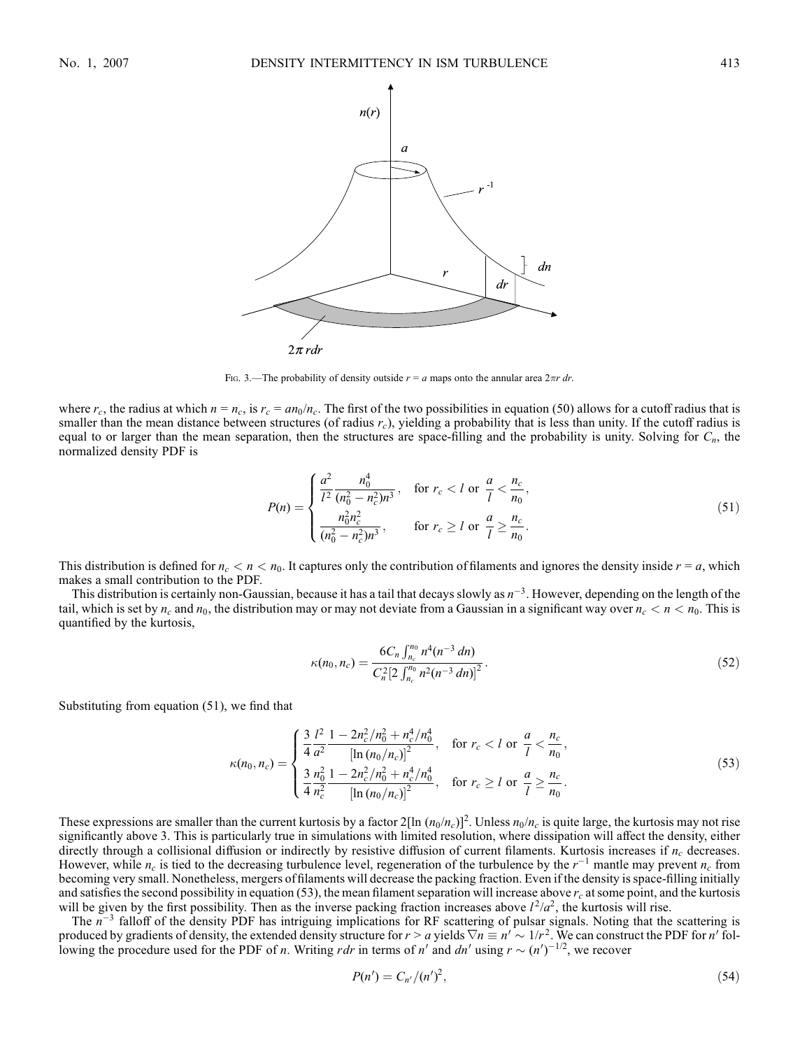

Fig. 3.—The probability of density outside  $r = a$  maps onto the annular area  $2\pi r dr$ .

where  $r_c$ , the radius at which  $n = n_c$ , is  $r_c = a n_0/n_c$ . The first of the two possibilities in equation (50) allows for a cutoff radius that is smaller than the mean distance between structures (of radius  $r_c$ ), yielding a probability that is less than unity. If the cutoff radius is equal to or larger than the mean separation, then the structures are space-filling and the probability is unity. Solving for  $C_n$ , the normalized density PDF is

$$
P(n) = \begin{cases} \frac{a^2}{l^2} \frac{n_0^4}{(n_0^2 - n_c^2)n^3}, & \text{for } r_c < l \text{ or } \frac{a}{l} < \frac{n_c}{n_0},\\ \frac{n_0^2 n_c^2}{(n_0^2 - n_c^2)n^3}, & \text{for } r_c \ge l \text{ or } \frac{a}{l} \ge \frac{n_c}{n_0}. \end{cases}
$$
(51)

This distribution is defined for  $n_c < n < n_0$ . It captures only the contribution of filaments and ignores the density inside  $r = a$ , which makes a small contribution to the PDF.

This distribution is certainly non-Gaussian, because it has a tail that decays slowly as  $n^{-3}$ . However, depending on the length of the tail, which is set by  $n_c$  and  $n_0$ , the distribution may or may not deviate from a Gaussian in a significant way over  $n_c < n < n_0$ . This is quantified by the kurtosis,

$$
\kappa(n_0, n_c) = \frac{6C_n \int_{n_c}^{n_0} n^4 (n^{-3} \, dn)}{C_n^2 \left[ 2 \int_{n_c}^{n_0} n^2 (n^{-3} \, dn) \right]^2} \,. \tag{52}
$$

Substituting from equation (51), we find that

$$
\kappa(n_0, n_c) = \begin{cases}\n\frac{3}{4} \frac{l^2}{a^2} \frac{1 - 2n_c^2/n_0^2 + n_c^4/n_0^4}{\left[\ln(n_0/n_c)\right]^2}, & \text{for } r_c < l \text{ or } \frac{a}{l} < \frac{n_c}{n_0}, \\
\frac{3}{4} \frac{n_0^2}{n_c^2} \frac{1 - 2n_c^2/n_0^2 + n_c^4/n_0^4}{\left[\ln(n_0/n_c)\right]^2}, & \text{for } r_c \ge l \text{ or } \frac{a}{l} \ge \frac{n_c}{n_0}.\n\end{cases}
$$
\n(53)

These expressions are smaller than the current kurtosis by a factor 2[ln  $(n_0/n_c)$ ]<sup>2</sup>. Unless  $n_0/n_c$  is quite large, the kurtosis may not rise significantly above 3. This is particularly true in simulations with limited resolution, where dissipation will affect the density, either directly through a collisional diffusion or indirectly by resistive diffusion of current filaments. Kurtosis increases if  $n_c$  decreases. However, while  $n_c$  is tied to the decreasing turbulence level, regeneration of the turbulence by the  $r^{-1}$  mantle may prevent  $n_c$  from becoming very small. Nonetheless, mergers of filaments will decrease the packing fraction. Even if the density is space-filling initially and satisfies the second possibility in equation (53), the mean filament separation will increase above  $r_c$  at some point, and the kurtosis will be given by the first possibility. Then as the inverse packing fraction increases above  $l^2/a^2$ , the kurtosis will rise.

The  $n^{-3}$  falloff of the density PDF has intriguing implications for RF scattering of pulsar signals. Noting that the scattering is produced by gradients of density, the extended density structure for  $r > a$  yields  $\nabla n \equiv n' \sim 1/r^2$ . We can construct the PDF for n' following the procedure used for the PDF of *n*. Writing *rdr* in terms of *n'* and *dn'* using  $r \sim (n')^{-1/2}$ , we recover

$$
P(n') = C_{n'}/(n')^2,
$$
\n(54)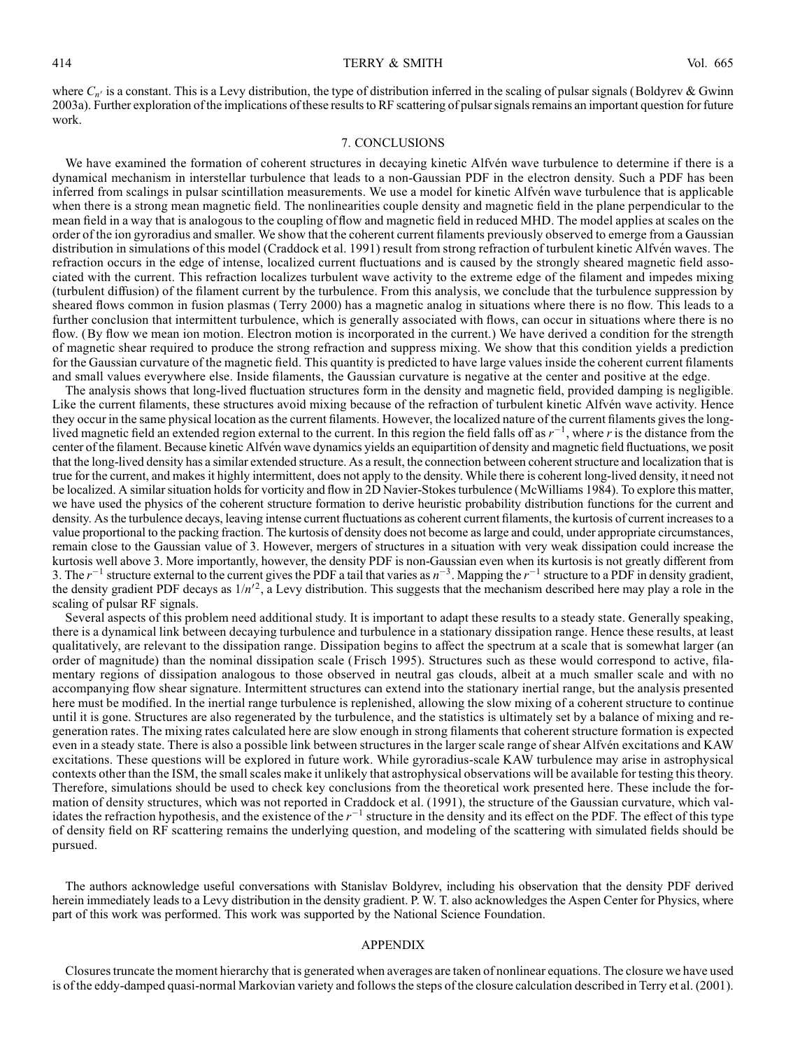where  $C_{n'}$  is a constant. This is a Levy distribution, the type of distribution inferred in the scaling of pulsar signals (Boldyrev & Gwinn 2003a). Further exploration of the implications of these results to RF scattering of pulsar signals remains an important question for future work.

## 7. CONCLUSIONS

We have examined the formation of coherent structures in decaying kinetic Alfvén wave turbulence to determine if there is a dynamical mechanism in interstellar turbulence that leads to a non-Gaussian PDF in the electron density. Such a PDF has been inferred from scalings in pulsar scintillation measurements. We use a model for kinetic Alfvén wave turbulence that is applicable when there is a strong mean magnetic field. The nonlinearities couple density and magnetic field in the plane perpendicular to the mean field in a way that is analogous to the coupling of flow and magnetic field in reduced MHD. The model applies at scales on the order of the ion gyroradius and smaller. We show that the coherent current filaments previously observed to emerge from a Gaussian distribution in simulations of this model (Craddock et al. 1991) result from strong refraction of turbulent kinetic Alfvén waves. The refraction occurs in the edge of intense, localized current fluctuations and is caused by the strongly sheared magnetic field associated with the current. This refraction localizes turbulent wave activity to the extreme edge of the filament and impedes mixing (turbulent diffusion) of the filament current by the turbulence. From this analysis, we conclude that the turbulence suppression by sheared flows common in fusion plasmas (Terry 2000) has a magnetic analog in situations where there is no flow. This leads to a further conclusion that intermittent turbulence, which is generally associated with flows, can occur in situations where there is no flow. (By flow we mean ion motion. Electron motion is incorporated in the current.) We have derived a condition for the strength of magnetic shear required to produce the strong refraction and suppress mixing. We show that this condition yields a prediction for the Gaussian curvature of the magnetic field. This quantity is predicted to have large values inside the coherent current filaments and small values everywhere else. Inside filaments, the Gaussian curvature is negative at the center and positive at the edge.

The analysis shows that long-lived fluctuation structures form in the density and magnetic field, provided damping is negligible. Like the current filaments, these structures avoid mixing because of the refraction of turbulent kinetic Alfvén wave activity. Hence they occur in the same physical location as the current filaments. However, the localized nature of the current filaments gives the longlived magnetic field an extended region external to the current. In this region the field falls off as  $r^{-1}$ , where r is the distance from the center of the filament. Because kinetic Alfvén wave dynamics yields an equipartition of density and magnetic field fluctuations, we posit that the long-lived density has a similar extended structure. As a result, the connection between coherent structure and localization that is true for the current, and makes it highly intermittent, does not apply to the density. While there is coherent long-lived density, it need not be localized. A similar situation holds for vorticity and flow in 2D Navier-Stokes turbulence (McWilliams 1984). To explore this matter, we have used the physics of the coherent structure formation to derive heuristic probability distribution functions for the current and density. As the turbulence decays, leaving intense current fluctuations as coherent current filaments, the kurtosis of current increases to a value proportional to the packing fraction. The kurtosis of density does not become as large and could, under appropriate circumstances, remain close to the Gaussian value of 3. However, mergers of structures in a situation with very weak dissipation could increase the kurtosis well above 3. More importantly, however, the density PDF is non-Gaussian even when its kurtosis is not greatly different from 3. The  $r^{-1}$  structure external to the current gives the PDF a tail that varies as  $n^{-3}$ . Mapping the  $r^{-1}$  structure to a PDF in density gradient, the density gradient PDF decays as  $1/n'^2$ , a Levy distribution. This suggests that the mechanism described here may play a role in the scaling of pulsar RF signals.

Several aspects of this problem need additional study. It is important to adapt these results to a steady state. Generally speaking, there is a dynamical link between decaying turbulence and turbulence in a stationary dissipation range. Hence these results, at least qualitatively, are relevant to the dissipation range. Dissipation begins to affect the spectrum at a scale that is somewhat larger (an order of magnitude) than the nominal dissipation scale (Frisch 1995). Structures such as these would correspond to active, filamentary regions of dissipation analogous to those observed in neutral gas clouds, albeit at a much smaller scale and with no accompanying flow shear signature. Intermittent structures can extend into the stationary inertial range, but the analysis presented here must be modified. In the inertial range turbulence is replenished, allowing the slow mixing of a coherent structure to continue until it is gone. Structures are also regenerated by the turbulence, and the statistics is ultimately set by a balance of mixing and regeneration rates. The mixing rates calculated here are slow enough in strong filaments that coherent structure formation is expected even in a steady state. There is also a possible link between structures in the larger scale range of shear Alfvén excitations and KAW excitations. These questions will be explored in future work. While gyroradius-scale KAW turbulence may arise in astrophysical contexts other than the ISM, the small scales make it unlikely that astrophysical observations will be available for testing this theory. Therefore, simulations should be used to check key conclusions from the theoretical work presented here. These include the formation of density structures, which was not reported in Craddock et al. (1991), the structure of the Gaussian curvature, which validates the refraction hypothesis, and the existence of the  $r^{-1}$  structure in the density and its effect on the PDF. The effect of this type of density field on RF scattering remains the underlying question, and modeling of the scattering with simulated fields should be pursued.

The authors acknowledge useful conversations with Stanislav Boldyrev, including his observation that the density PDF derived herein immediately leads to a Levy distribution in the density gradient. P. W. T. also acknowledges the Aspen Center for Physics, where part of this work was performed. This work was supported by the National Science Foundation.

#### APPENDIX

Closures truncate the moment hierarchy that is generated when averages are taken of nonlinear equations. The closure we have used is of the eddy-damped quasi-normal Markovian variety and follows the steps of the closure calculation described in Terry et al. (2001).